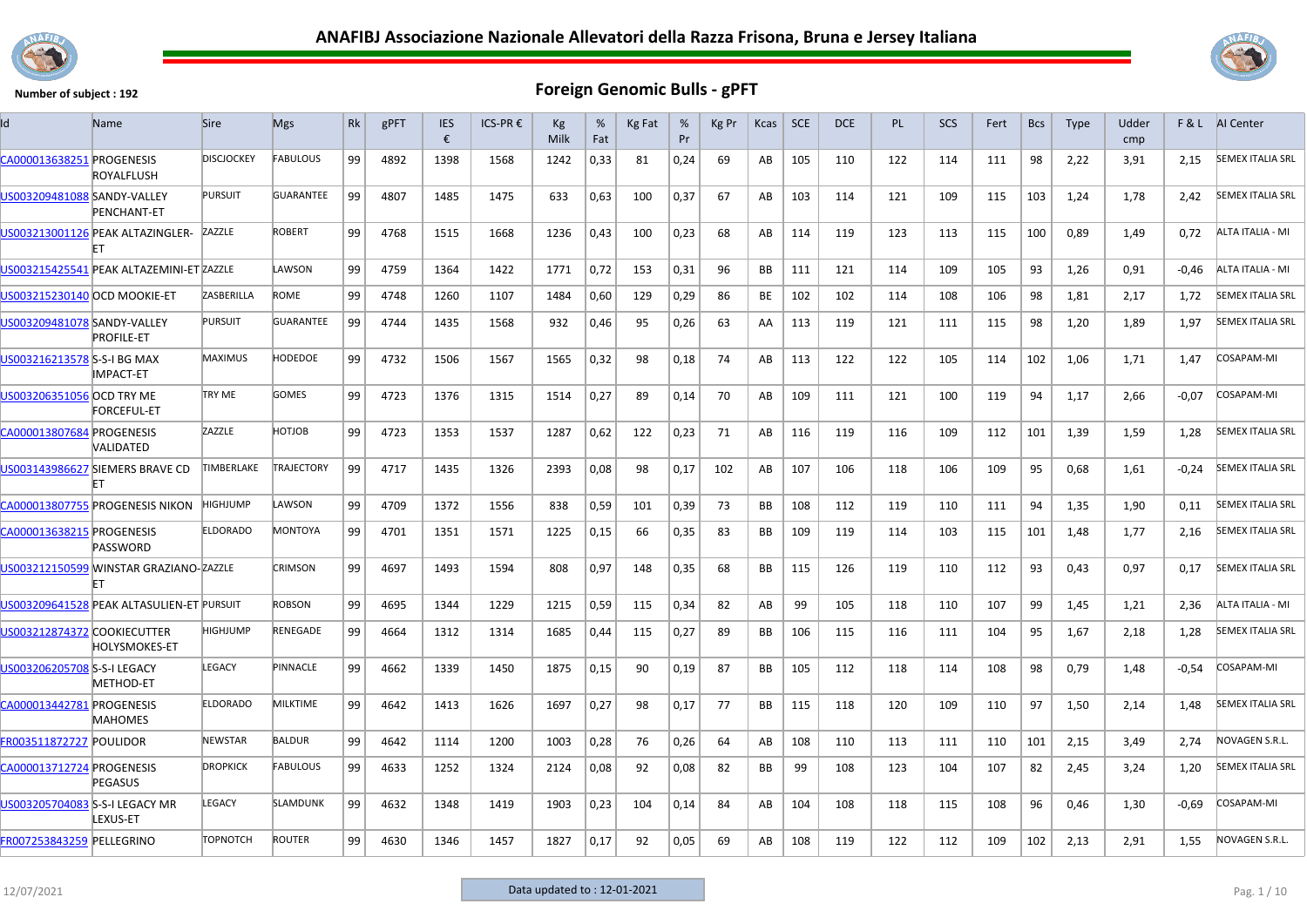



| Id                             | Name                                      | <b>Sire</b>       | <b>Mgs</b>        | Rk | gPFT | <b>IES</b><br>€ | ICS-PR € | Kg<br>Milk | %<br>Fat | Kg Fat | %<br>Pr | Kg Pr | Kcas | <b>SCE</b> | <b>DCE</b> | <b>PL</b> | <b>SCS</b> | Fert | <b>Bcs</b> | <b>Type</b> | Udder<br>cmp |         | <b>F&amp;L</b> AI Center |
|--------------------------------|-------------------------------------------|-------------------|-------------------|----|------|-----------------|----------|------------|----------|--------|---------|-------|------|------------|------------|-----------|------------|------|------------|-------------|--------------|---------|--------------------------|
| CA000013638251 PROGENESIS      | <b>ROYALFLUSH</b>                         | <b>DISCJOCKEY</b> | FABULOUS          | 99 | 4892 | 1398            | 1568     | 1242       | 0,33     | 81     | 0,24    | 69    | AB   | 105        | 110        | 122       | 114        | 111  | 98         | 2,22        | 3,91         | 2,15    | <b>SEMEX ITALIA SRL</b>  |
| US003209481088 SANDY-VALLEY    | PENCHANT-ET                               | <b>PURSUIT</b>    | <b>GUARANTEE</b>  | 99 | 4807 | 1485            | 1475     | 633        | 0,63     | 100    | 0,37    | 67    | AB.  | 103        | 114        | 121       | 109        | 115  | 103        | 1,24        | 1,78         | 2,42    | <b>SEMEX ITALIA SRL</b>  |
|                                | US003213001126 PEAK ALTAZINGLER-          | ZAZZLE            | <b>ROBERT</b>     | 99 | 4768 | 1515            | 1668     | 1236       | 0,43     | 100    | 0,23    | 68    | AB   | 114        | 119        | 123       | 113        | 115  | 100        | 0,89        | 1,49         | 0,72    | ALTA ITALIA - MI         |
|                                | US003215425541 PEAK ALTAZEMINI-ET ZAZZLE  |                   | LAWSON            | 99 | 4759 | 1364            | 1422     | 1771       | 0,72     | 153    | 0,31    | 96    | BB   | 111        | 121        | 114       | 109        | 105  | 93         | 1,26        | 0,91         | $-0,46$ | ALTA ITALIA - MI         |
| US003215230140 OCD MOOKIE-ET   |                                           | ZASBERILLA        | ROME              | 99 | 4748 | 1260            | 1107     | 1484       | 0,60     | 129    | 0,29    | 86    | BE   | 102        | 102        | 114       | 108        | 106  | 98         | 1,81        | 2,17         | 1,72    | <b>SEMEX ITALIA SRL</b>  |
| US003209481078 SANDY-VALLEY    | <b>PROFILE-ET</b>                         | <b>PURSUIT</b>    | GUARANTEE         | 99 | 4744 | 1435            | 1568     | 932        | 0,46     | 95     | 0,26    | 63    | AA   | 113        | 119        | 121       | 111        | 115  | 98         | 1,20        | 1,89         | 1,97    | <b>SEMEX ITALIA SRL</b>  |
| US003216213578 S-S-I BG MAX    | IMPACT-ET                                 | <b>MAXIMUS</b>    | <b>HODEDOE</b>    | 99 | 4732 | 1506            | 1567     | 1565       | 0,32     | 98     | 0,18    | 74    | AB   | 113        | 122        | 122       | 105        | 114  | 102        | 1,06        | 1,71         | 1,47    | COSAPAM-MI               |
| US003206351056 OCD TRY ME      | <b>FORCEFUL-ET</b>                        | <b>TRY ME</b>     | <b>GOMES</b>      | 99 | 4723 | 1376            | 1315     | 1514       | 0,27     | 89     | 0,14    | 70    | AB   | 109        | 111        | 121       | 100        | 119  | 94         | 1,17        | 2,66         | $-0.07$ | COSAPAM-MI               |
| CA000013807684 PROGENESIS      | VALIDATED                                 | ZAZZLE            | HOTJOB            | 99 | 4723 | 1353            | 1537     | 1287       | 0,62     | 122    | 0,23    | 71    | AB   | 116        | 119        | 116       | 109        | 112  | 101        | 1,39        | 1,59         | 1,28    | <b>SEMEX ITALIA SRL</b>  |
|                                | US003143986627 SIEMERS BRAVE CD           | TIMBERLAKE        | <b>TRAJECTORY</b> | 99 | 4717 | 1435            | 1326     | 2393       | 0,08     | 98     | 0,17    | 102   | AB   | 107        | 106        | 118       | 106        | 109  | 95         | 0,68        | 1,61         | $-0,24$ | <b>SEMEX ITALIA SRL</b>  |
|                                | CA000013807755 PROGENESIS NIKON           | <b>HIGHJUMP</b>   | LAWSON            | 99 | 4709 | 1372            | 1556     | 838        | 0,59     | 101    | 0,39    | 73    | BB   | 108        | 112        | 119       | 110        | 111  | 94         | 1,35        | 1,90         | 0,11    | <b>SEMEX ITALIA SRL</b>  |
| CA000013638215 PROGENESIS      | PASSWORD                                  | <b>ELDORADO</b>   | MONTOYA           | 99 | 4701 | 1351            | 1571     | 1225       | 0,15     | 66     | 0,35    | 83    | BB   | 109        | 119        | 114       | 103        | 115  | 101        | 1,48        | 1,77         | 2,16    | <b>SEMEX ITALIA SRL</b>  |
|                                | US003212150599 WINSTAR GRAZIANO-ZAZZLE    |                   | <b>CRIMSON</b>    | 99 | 4697 | 1493            | 1594     | 808        | 0,97     | 148    | 0,35    | 68    | BB   | 115        | 126        | 119       | 110        | 112  | 93         | 0,43        | 0,97         | 0,17    | <b>SEMEX ITALIA SRL</b>  |
|                                | US003209641528 PEAK ALTASULIEN-ET PURSUIT |                   | ROBSON            | 99 | 4695 | 1344            | 1229     | 1215       | 0,59     | 115    | 0,34    | 82    | AB   | 99         | 105        | 118       | 110        | 107  | 99         | 1,45        | 1,21         | 2,36    | ALTA ITALIA - MI         |
| US003212874372 COOKIECUTTER    | <b>HOLYSMOKES-ET</b>                      | HIGHJUMP          | RENEGADE          | 99 | 4664 | 1312            | 1314     | 1685       | 0,44     | 115    | 0,27    | 89    | BB   | 106        | 115        | 116       | 111        | 104  | 95         | 1,67        | 2,18         | 1,28    | <b>SEMEX ITALIA SRL</b>  |
| US003206205708 S-S-I LEGACY    | METHOD-ET                                 | LEGACY            | PINNACLE          | 99 | 4662 | 1339            | 1450     | 1875       | 0,15     | 90     | 0,19    | 87    | BB   | 105        | 112        | 118       | 114        | 108  | 98         | 0,79        | 1,48         | $-0,54$ | COSAPAM-MI               |
| CA000013442781 PROGENESIS      | <b>MAHOMES</b>                            | <b>ELDORADO</b>   | <b>MILKTIME</b>   | 99 | 4642 | 1413            | 1626     | 1697       | 0,27     | 98     | 0,17    | 77    | BB   | 115        | 118        | 120       | 109        | 110  | 97         | 1,50        | 2,14         | 1,48    | <b>SEMEX ITALIA SRL</b>  |
| <b>FR003511872727 POULIDOR</b> |                                           | NEWSTAR           | <b>BALDUR</b>     | 99 | 4642 | 1114            | 1200     | 1003       | 0,28     | 76     | 0,26    | 64    | AB   | 108        | 110        | 113       | 111        | 110  | 101        | 2,15        | 3,49         | 2,74    | NOVAGEN S.R.L.           |
| CA000013712724 PROGENESIS      | PEGASUS                                   | <b>DROPKICK</b>   | <b>FABULOUS</b>   | 99 | 4633 | 1252            | 1324     | 2124       | 0,08     | 92     | 0,08    | 82    | BB   | 99         | 108        | 123       | 104        | 107  | 82         | 2,45        | 3,24         | 1,20    | <b>SEMEX ITALIA SRL</b>  |
| US003205704083 S-S-I LEGACY MR | LEXUS-ET                                  | LEGACY            | SLAMDUNK          | 99 | 4632 | 1348            | 1419     | 1903       | 0,23     | 104    | 0,14    | 84    | AB   | 104        | 108        | 118       | 115        | 108  | 96         | 0,46        | 1,30         | $-0.69$ | <b>COSAPAM-MI</b>        |
| FR007253843259 PELLEGRINO      |                                           | <b>TOPNOTCH</b>   | ROUTER            | 99 | 4630 | 1346            | 1457     | 1827       | 0,17     | 92     | 0,05    | 69    | AB   | 108        | 119        | 122       | 112        | 109  | 102        | 2,13        | 2,91         | 1,55    | NOVAGEN S.R.L.           |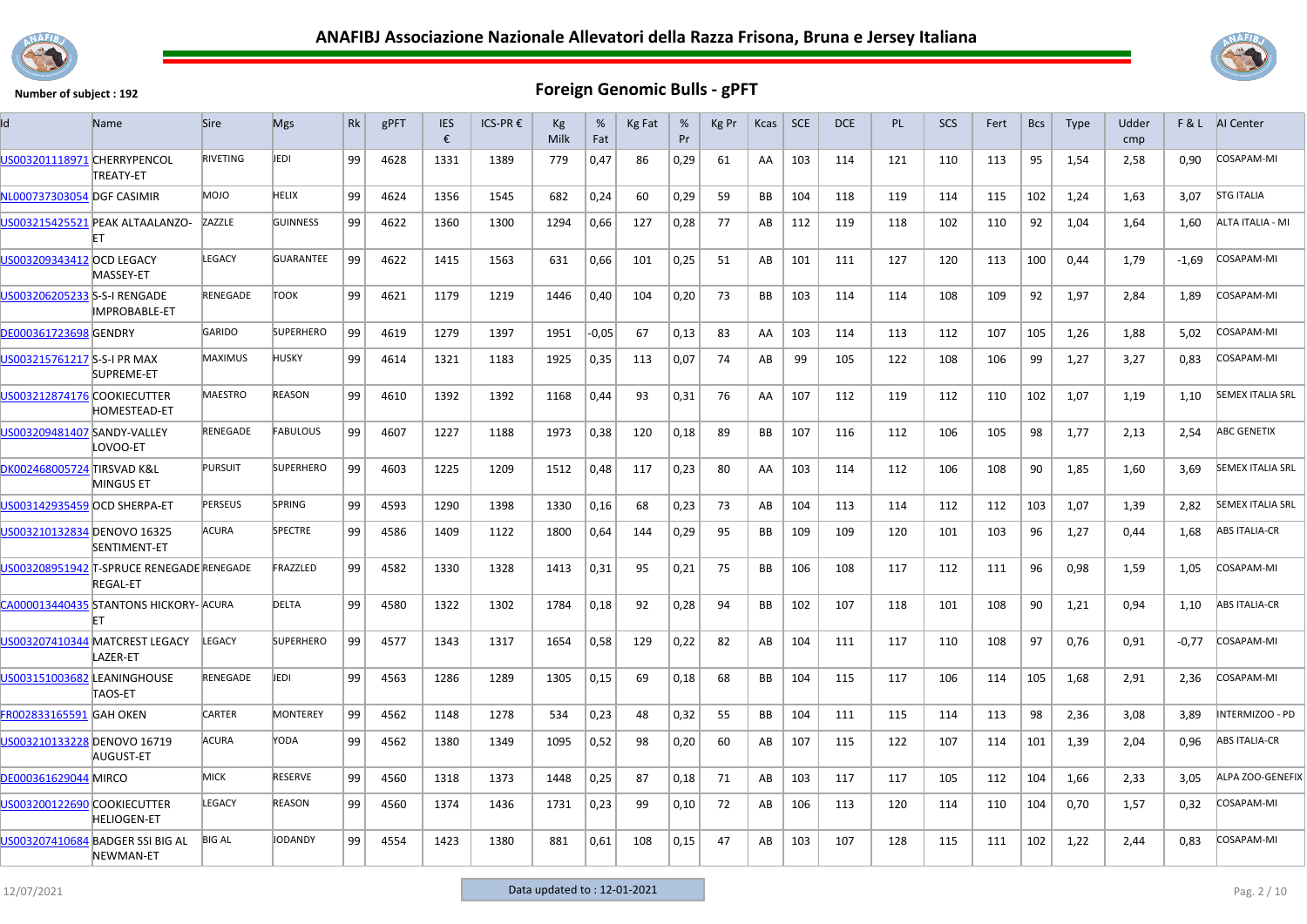



| Id                             | Name                                                         | <b>Sire</b>     | <b>Mgs</b>       | Rk | gPFT | <b>IES</b><br>€ | ICS-PR € | Kg<br>Milk | %<br>Fat | Kg Fat | %<br>Pr | Kg Pr | Kcas      | <b>SCE</b> | <b>DCE</b> | <b>PL</b> | <b>SCS</b> | Fert | <b>Bcs</b> | <b>Type</b> | Udder<br>cmp |         | <b>F&amp;L</b> AI Center |
|--------------------------------|--------------------------------------------------------------|-----------------|------------------|----|------|-----------------|----------|------------|----------|--------|---------|-------|-----------|------------|------------|-----------|------------|------|------------|-------------|--------------|---------|--------------------------|
| US003201118971 CHERRYPENCOL    | TREATY-ET                                                    | <b>RIVETING</b> | <b>EDI</b>       | 99 | 4628 | 1331            | 1389     | 779        | 0,47     | 86     | 0,29    | 61    | AA        | 103        | 114        | 121       | 110        | 113  | 95         | 1,54        | 2,58         | 0,90    | COSAPAM-MI               |
| NL000737303054 DGF CASIMIR     |                                                              | <b>MOJO</b>     | <b>HELIX</b>     | 99 | 4624 | 1356            | 1545     | 682        | 0,24     | 60     | 0.29    | 59    | <b>BB</b> | 104        | 118        | 119       | 114        | 115  | 102        | 1,24        | 1.63         | 3.07    | <b>STG ITALIA</b>        |
|                                | US003215425521 PEAK ALTAALANZO-<br>IΕT                       | ZAZZLE          | <b>GUINNESS</b>  | 99 | 4622 | 1360            | 1300     | 1294       | 0,66     | 127    | 0,28    | 77    | AB        | 112        | 119        | 118       | 102        | 110  | 92         | 1,04        | 1,64         | 1,60    | ALTA ITALIA - MI         |
| US003209343412 OCD LEGACY      | MASSEY-ET                                                    | LEGACY          | <b>GUARANTEE</b> | 99 | 4622 | 1415            | 1563     | 631        | 0,66     | 101    | 0,25    | 51    | AB        | 101        | 111        | 127       | 120        | 113  | 100        | 0,44        | 1,79         | $-1,69$ | COSAPAM-MI               |
| US003206205233 S-S-I RENGADE   | <b>IMPROBABLE-ET</b>                                         | RENEGADE        | <b>TOOK</b>      | 99 | 4621 | 1179            | 1219     | 1446       | 0,40     | 104    | 0,20    | 73    | <b>BB</b> | 103        | 114        | 114       | 108        | 109  | 92         | 1,97        | 2,84         | 1,89    | <b>COSAPAM-MI</b>        |
| DE000361723698 GENDRY          |                                                              | GARIDO          | <b>SUPERHERO</b> | 99 | 4619 | 1279            | 1397     | 1951       | 0,05     | 67     | 0,13    | 83    | AA        | 103        | 114        | 113       | 112        | 107  | 105        | 1,26        | 1,88         | 5,02    | COSAPAM-MI               |
| US003215761217 S-S-I PR MAX    | SUPREME-ET                                                   | <b>MAXIMUS</b>  | HUSKY            | 99 | 4614 | 1321            | 1183     | 1925       | 0,35     | 113    | 0,07    | 74    | AB        | 99         | 105        | 122       | 108        | 106  | 99         | 1,27        | 3,27         | 0,83    | COSAPAM-MI               |
| US003212874176 COOKIECUTTER    | HOMESTEAD-ET                                                 | <b>MAESTRO</b>  | REASON           | 99 | 4610 | 1392            | 1392     | 1168       | 0,44     | 93     | 0,31    | 76    | AA        | 107        | 112        | 119       | 112        | 110  | 102        | 1,07        | 1,19         | 1,10    | <b>SEMEX ITALIA SRL</b>  |
| US003209481407 SANDY-VALLEY    | LOVOO-ET                                                     | RENEGADE        | <b>FABULOUS</b>  | 99 | 4607 | 1227            | 1188     | 1973       | 0,38     | 120    | 0,18    | 89    | <b>BB</b> | 107        | 116        | 112       | 106        | 105  | 98         | 1,77        | 2,13         | 2,54    | <b>ABC GENETIX</b>       |
| DK002468005724 TIRSVAD K&L     | <b>MINGUS ET</b>                                             | <b>PURSUIT</b>  | <b>SUPERHERO</b> | 99 | 4603 | 1225            | 1209     | 1512       | 0,48     | 117    | 0,23    | 80    | AA        | 103        | 114        | 112       | 106        | 108  | 90         | 1,85        | 1,60         | 3,69    | <b>SEMEX ITALIA SRL</b>  |
| US003142935459 OCD SHERPA-ET   |                                                              | <b>PERSEUS</b>  | <b>SPRING</b>    | 99 | 4593 | 1290            | 1398     | 1330       | 0,16     | 68     | 0,23    | 73    | AB        | 104        | 113        | 114       | 112        | 112  | 103        | 1,07        | 1,39         | 2,82    | <b>SEMEX ITALIA SRL</b>  |
| US003210132834 DENOVO 16325    | SENTIMENT-ET                                                 | <b>ACURA</b>    | <b>SPECTRE</b>   | 99 | 4586 | 1409            | 1122     | 1800       | 0,64     | 144    | 0,29    | 95    | <b>BB</b> | 109        | 109        | 120       | 101        | 103  | 96         | 1,27        | 0.44         | 1,68    | <b>ABS ITALIA-CR</b>     |
|                                | US003208951942 T-SPRUCE RENEGADE RENEGADE<br><b>REGAL-ET</b> |                 | FRAZZLED         | 99 | 4582 | 1330            | 1328     | 1413       | 0,31     | 95     | 0,21    | 75    | BB        | 106        | 108        | 117       | 112        | 111  | 96         | 0,98        | 1,59         | 1,05    | COSAPAM-MI               |
|                                | CA000013440435 STANTONS HICKORY- ACURA<br>FТ                 |                 | <b>DELTA</b>     | 99 | 4580 | 1322            | 1302     | 1784       | 0,18     | 92     | 0,28    | 94    | BB        | 102        | 107        | 118       | 101        | 108  | 90         | 1,21        | 0,94         | 1,10    | <b>ABS ITALIA-CR</b>     |
|                                | US003207410344 MATCREST LEGACY<br>LAZER-ET                   | LEGACY          | <b>SUPERHERO</b> | 99 | 4577 | 1343            | 1317     | 1654       | 0,58     | 129    | 0,22    | 82    | AB        | 104        | 111        | 117       | 110        | 108  | 97         | 0.76        | 0,91         | $-0.77$ | COSAPAM-MI               |
| US003151003682 LEANINGHOUSE    | TAOS-ET                                                      | <b>RENEGADE</b> | JEDI             | 99 | 4563 | 1286            | 1289     | 1305       | 0,15     | 69     | 0,18    | 68    | BB        | 104        | 115        | 117       | 106        | 114  | 105        | 1,68        | 2,91         | 2,36    | COSAPAM-MI               |
| <b>FR002833165591 GAH OKEN</b> |                                                              | <b>CARTER</b>   | <b>MONTEREY</b>  | 99 | 4562 | 1148            | 1278     | 534        | 0,23     | 48     | 0,32    | 55    | BB        | 104        | 111        | 115       | 114        | 113  | 98         | 2,36        | 3,08         | 3,89    | NTERMIZOO - PD           |
| US003210133228 DENOVO 16719    | AUGUST-ET                                                    | ACURA           | YODA             | 99 | 4562 | 1380            | 1349     | 1095       | 0,52     | 98     | 0,20    | 60    | AB        | 107        | 115        | 122       | 107        | 114  | 101        | 1,39        | 2,04         | 0,96    | ABS ITALIA-CR            |
| <b>DE000361629044 MIRCO</b>    |                                                              | <b>MICK</b>     | <b>RESERVE</b>   | 99 | 4560 | 1318            | 1373     | 1448       | 0,25     | 87     | 0,18    | 71    | AB        | 103        | 117        | 117       | 105        | 112  | 104        | 1,66        | 2,33         | 3.05    | ALPA ZOO-GENEFIX         |
| US003200122690 COOKIECUTTER    | HELIOGEN-ET                                                  | LEGACY          | REASON           | 99 | 4560 | 1374            | 1436     | 1731       | 0,23     | 99     | 0,10    | 72    | AB        | 106        | 113        | 120       | 114        | 110  | 104        | 0,70        | 1,57         | 0,32    | COSAPAM-MI               |
|                                | US003207410684 BADGER SSI BIG AL<br>NEWMAN-ET                | <b>BIG AL</b>   | <b>JODANDY</b>   | 99 | 4554 | 1423            | 1380     | 881        | 0,61     | 108    | 0,15    | 47    | AB        | 103        | 107        | 128       | 115        | 111  | 102        | 1,22        | 2,44         | 0,83    | COSAPAM-MI               |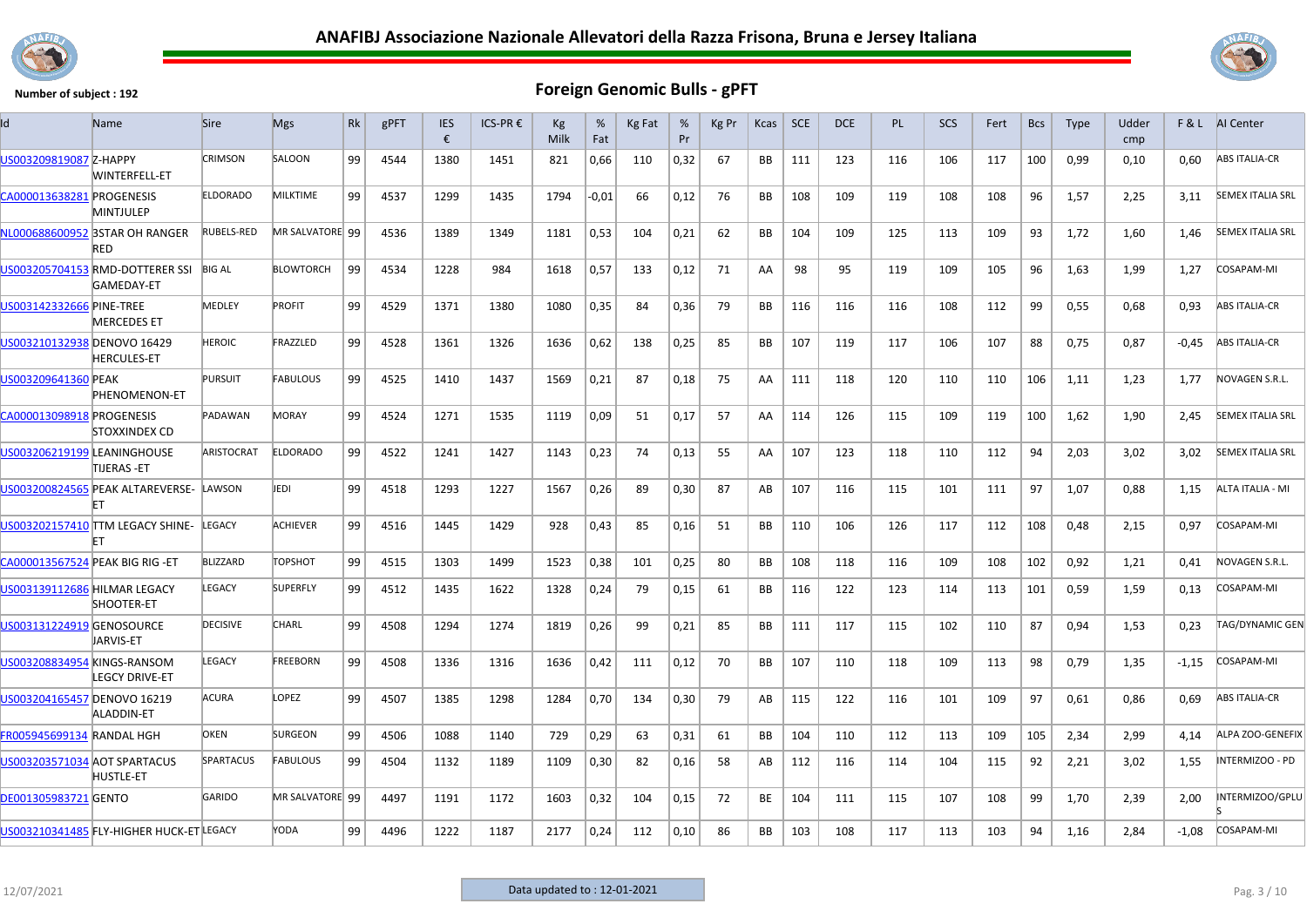



| US003209819087 Z-HAPPY<br>CA000013638281 PROGENESIS | <b>WINTERFELL-ET</b><br>MINTJULEP<br>NL000688600952 3STAR OH RANGER<br><b>RED</b><br>US003205704153 RMD-DOTTERER SSI<br>GAMEDAY-ET<br><b>MERCEDES ET</b> | CRIMSON<br><b>ELDORADO</b><br><b>RUBELS-RED</b><br><b>BIG AL</b><br>MEDLEY | SALOON<br><b>MILKTIME</b><br>MR SALVATORE 99<br><b>BLOWTORCH</b> | 99<br>99<br>99 | 4544<br>4537<br>4536 | 1380<br>1299<br>1389 | 1451<br>1435<br>1349 | 821<br>1794 | 0,66<br>$-0,01$ | 110<br>66 | 0,32 | 67 | BB        | 111 | 123 | 116 | 106 | 117 | 100 | 0,99 | 0,10 | 0,60    | <b>ABS ITALIA-CR</b>    |
|-----------------------------------------------------|----------------------------------------------------------------------------------------------------------------------------------------------------------|----------------------------------------------------------------------------|------------------------------------------------------------------|----------------|----------------------|----------------------|----------------------|-------------|-----------------|-----------|------|----|-----------|-----|-----|-----|-----|-----|-----|------|------|---------|-------------------------|
|                                                     |                                                                                                                                                          |                                                                            |                                                                  |                |                      |                      |                      |             |                 |           |      |    |           |     |     |     |     |     |     |      |      |         |                         |
|                                                     |                                                                                                                                                          |                                                                            |                                                                  |                |                      |                      |                      |             |                 |           | 0,12 | 76 | BB        | 108 | 109 | 119 | 108 | 108 | 96  | 1,57 | 2,25 | 3,11    | <b>SEMEX ITALIA SRL</b> |
|                                                     |                                                                                                                                                          |                                                                            |                                                                  |                |                      |                      |                      | 1181        | 0,53            | 104       | 0,21 | 62 | BB        | 104 | 109 | 125 | 113 | 109 | 93  | 1,72 | 1,60 | 1,46    | <b>SEMEX ITALIA SRL</b> |
|                                                     |                                                                                                                                                          |                                                                            |                                                                  |                | 4534                 | 1228                 | 984                  | 1618        | 0,57            | 133       | 0,12 | 71 | AA        | 98  | 95  | 119 | 109 | 105 | 96  | 1,63 | 1,99 | 1,27    | COSAPAM-MI              |
| US003142332666 PINE-TREE                            |                                                                                                                                                          |                                                                            | <b>PROFIT</b>                                                    | 99             | 4529                 | 1371                 | 1380                 | 1080        | 0,35            | 84        | 0,36 | 79 | BB        | 116 | 116 | 116 | 108 | 112 | 99  | 0,55 | 0,68 | 0,93    | <b>ABS ITALIA-CR</b>    |
|                                                     | US003210132938 DENOVO 16429<br><b>HERCULES-ET</b>                                                                                                        | <b>HEROIC</b>                                                              | FRAZZLED                                                         | 99             | 4528                 | 1361                 | 1326                 | 1636        | 0,62            | 138       | 0,25 | 85 | BB        | 107 | 119 | 117 | 106 | 107 | 88  | 0,75 | 0,87 | $-0,45$ | <b>ABS ITALIA-CR</b>    |
| US003209641360 PEAK                                 | PHENOMENON-ET                                                                                                                                            | <b>PURSUIT</b>                                                             | <b>FABULOUS</b>                                                  | 99             | 4525                 | 1410                 | 1437                 | 1569        | 0,21            | 87        | 0,18 | 75 | AA        | 111 | 118 | 120 | 110 | 110 | 106 | 1,11 | 1,23 | 1,77    | NOVAGEN S.R.L.          |
| CA000013098918 PROGENESIS                           | STOXXINDEX CD                                                                                                                                            | PADAWAN                                                                    | MORAY                                                            | 99             | 4524                 | 1271                 | 1535                 | 1119        | 0,09            | 51        | 0,17 | 57 | AA        | 114 | 126 | 115 | 109 | 119 | 100 | 1,62 | 1,90 | 2,45    | <b>SEMEX ITALIA SRL</b> |
|                                                     | US003206219199 LEANINGHOUSE<br>TIJERAS -ET                                                                                                               | ARISTOCRAT                                                                 | <b>ELDORADO</b>                                                  | 99             | 4522                 | 1241                 | 1427                 | 1143        | 0,23            | 74        | 0,13 | 55 | AA        | 107 | 123 | 118 | 110 | 112 | 94  | 2,03 | 3,02 | 3,02    | <b>SEMEX ITALIA SRL</b> |
|                                                     | US003200824565 PEAK ALTAREVERSE-                                                                                                                         | LAWSON                                                                     | JEDI                                                             | 99             | 4518                 | 1293                 | 1227                 | 1567        | 0,26            | 89        | 0,30 | 87 | AB        | 107 | 116 | 115 | 101 | 111 | 97  | 1,07 | 0,88 | 1,15    | ALTA ITALIA - MI        |
|                                                     | US003202157410 TTM LEGACY SHINE-                                                                                                                         | LEGACY                                                                     | ACHIEVER                                                         | 99             | 4516                 | 1445                 | 1429                 | 928         | 0,43            | 85        | 0,16 | 51 | BB        | 110 | 106 | 126 | 117 | 112 | 108 | 0,48 | 2,15 | 0,97    | COSAPAM-MI              |
|                                                     | CA000013567524 PEAK BIG RIG -ET                                                                                                                          | <b>BLIZZARD</b>                                                            | TOPSHOT                                                          | 99             | 4515                 | 1303                 | 1499                 | 1523        | 0,38            | 101       | 0,25 | 80 | BB        | 108 | 118 | 116 | 109 | 108 | 102 | 0,92 | 1.21 | 0.41    | NOVAGEN S.R.L.          |
|                                                     | US003139112686 HILMAR LEGACY<br><b>SHOOTER-ET</b>                                                                                                        | LEGACY                                                                     | <b>SUPERFLY</b>                                                  | 99             | 4512                 | 1435                 | 1622                 | 1328        | 0,24            | 79        | 0,15 | 61 | <b>BB</b> | 116 | 122 | 123 | 114 | 113 | 101 | 0,59 | 1,59 | 0,13    | COSAPAM-MI              |
| US003131224919 GENOSOURCE                           | <b>JARVIS-ET</b>                                                                                                                                         | <b>DECISIVE</b>                                                            | CHARL                                                            | 99             | 4508                 | 1294                 | 1274                 | 1819        | 0,26            | 99        | 0,21 | 85 | <b>BB</b> | 111 | 117 | 115 | 102 | 110 | 87  | 0,94 | 1,53 | 0,23    | TAG/DYNAMIC GEN         |
|                                                     | US003208834954 KINGS-RANSOM<br>LEGCY DRIVE-ET                                                                                                            | LEGACY                                                                     | <b>FREEBORN</b>                                                  | 99             | 4508                 | 1336                 | 1316                 | 1636        | 0,42            | 111       | 0,12 | 70 | <b>BB</b> | 107 | 110 | 118 | 109 | 113 | 98  | 0,79 | 1,35 | $-1,15$ | COSAPAM-MI              |
|                                                     | US003204165457 DENOVO 16219<br>ALADDIN-ET                                                                                                                | ACURA                                                                      | LOPEZ                                                            | 99             | 4507                 | 1385                 | 1298                 | 1284        | 0,70            | 134       | 0,30 | 79 | AB        | 115 | 122 | 116 | 101 | 109 | 97  | 0,61 | 0,86 | 0,69    | <b>ABS ITALIA-CR</b>    |
| FR005945699134 RANDAL HGH                           |                                                                                                                                                          | <b>OKEN</b>                                                                | SURGEON                                                          | 99             | 4506                 | 1088                 | 1140                 | 729         | 0,29            | 63        | 0,31 | 61 | <b>BB</b> | 104 | 110 | 112 | 113 | 109 | 105 | 2,34 | 2,99 | 4,14    | ALPA ZOO-GENEFIX        |
|                                                     | US003203571034 AOT SPARTACUS<br><b>HUSTLE-ET</b>                                                                                                         | <b>SPARTACUS</b>                                                           | <b>FABULOUS</b>                                                  | 99             | 4504                 | 1132                 | 1189                 | 1109        | 0,30            | 82        | 0,16 | 58 | AB        | 112 | 116 | 114 | 104 | 115 | 92  | 2,21 | 3,02 | 1,55    | INTERMIZOO - PD         |
| <b>DE001305983721 GENTO</b>                         |                                                                                                                                                          | GARIDO                                                                     | MR SALVATORE 99                                                  |                | 4497                 | 1191                 | 1172                 | 1603        | 0,32            | 104       | 0,15 | 72 | BE        | 104 | 111 | 115 | 107 | 108 | 99  | 1,70 | 2,39 | 2,00    | INTERMIZOO/GPLU         |
|                                                     | US003210341485 FLY-HIGHER HUCK-ET LEGACY                                                                                                                 |                                                                            | YODA                                                             | 99             | 4496                 | 1222                 | 1187                 | 2177        | 0,24            | 112       | 0,10 | 86 | BВ        | 103 | 108 | 117 | 113 | 103 | 94  | 1,16 | 2,84 | $-1,08$ | COSAPAM-MI              |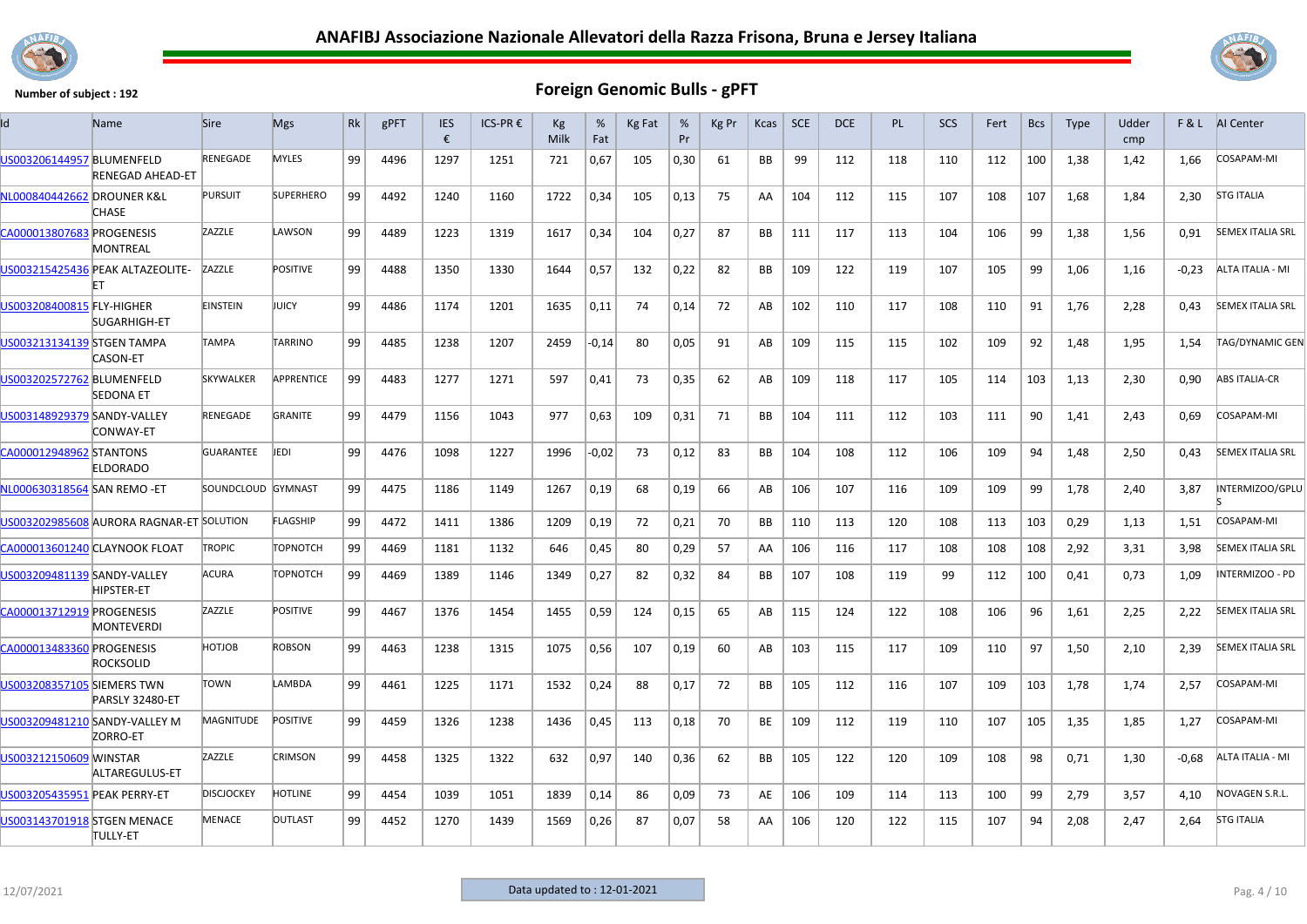



| Id                           | <b>Name</b>                               | <b>Sire</b>        | <b>Mgs</b>        | Rk | gPFT | <b>IES</b><br>€ | ICS-PR€ | Kg<br>Milk | %<br>Fat | Kg Fat | %<br>Pr | Kg Pr | Kcas      | <b>SCE</b> | <b>DCE</b> | <b>PL</b> | <b>SCS</b> | Fert | <b>Bcs</b> | <b>Type</b> | Udder<br>cmp |         | F & L AI Center         |
|------------------------------|-------------------------------------------|--------------------|-------------------|----|------|-----------------|---------|------------|----------|--------|---------|-------|-----------|------------|------------|-----------|------------|------|------------|-------------|--------------|---------|-------------------------|
| US003206144957 BLUMENFELD    | <b>RENEGAD AHEAD-ET</b>                   | <b>RENEGADE</b>    | <b>MYLES</b>      | 99 | 4496 | 1297            | 1251    | 721        | 0,67     | 105    | 0,30    | 61    | <b>BB</b> | 99         | 112        | 118       | 110        | 112  | 100        | 1,38        | 1,42         | 1,66    | COSAPAM-MI              |
| NL000840442662 DROUNER K&L   | CHASE                                     | <b>PURSUIT</b>     | <b>SUPERHERO</b>  | 99 | 4492 | 1240            | 1160    | 1722       | 0,34     | 105    | 0,13    | 75    | AA        | 104        | 112        | 115       | 107        | 108  | 107        | 1,68        | 1,84         | 2,30    | <b>STG ITALIA</b>       |
| CA000013807683 PROGENESIS    | MONTREAL                                  | ZAZZLE             | LAWSON            | 99 | 4489 | 1223            | 1319    | 1617       | 0,34     | 104    | 0,27    | 87    | BB        | 111        | 117        | 113       | 104        | 106  | 99         | 1,38        | 1,56         | 0,91    | <b>SEMEX ITALIA SRL</b> |
|                              | US003215425436 PEAK ALTAZEOLITE-          | ZAZZLE             | <b>POSITIVE</b>   | 99 | 4488 | 1350            | 1330    | 1644       | 0,57     | 132    | 0,22    | 82    | BB        | 109        | 122        | 119       | 107        | 105  | 99         | 1,06        | 1,16         | $-0,23$ | ALTA ITALIA - MI        |
| US003208400815 FLY-HIGHER    | SUGARHIGH-ET                              | <b>EINSTEIN</b>    | JUICY             | 99 | 4486 | 1174            | 1201    | 1635       | 0,11     | 74     | 0,14    | 72    | AB        | 102        | 110        | 117       | 108        | 110  | 91         | 1,76        | 2,28         | 0,43    | <b>SEMEX ITALIA SRL</b> |
| US003213134139 STGEN TAMPA   | <b>CASON-ET</b>                           | <b>TAMPA</b>       | <b>TARRINO</b>    | 99 | 4485 | 1238            | 1207    | 2459       | $-0,14$  | 80     | 0.05    | 91    | AB        | 109        | 115        | 115       | 102        | 109  | 92         | 1.48        | 1,95         | 1,54    | <b>TAG/DYNAMIC GEN</b>  |
| US003202572762 BLUMENFELD    | <b>SEDONA ET</b>                          | <b>SKYWALKER</b>   | <b>APPRENTICE</b> | 99 | 4483 | 1277            | 1271    | 597        | 0,41     | 73     | 0,35    | 62    | AB        | 109        | 118        | 117       | 105        | 114  | 103        | 1,13        | 2,30         | 0.90    | <b>ABS ITALIA-CR</b>    |
| US003148929379 SANDY-VALLEY  | CONWAY-ET                                 | RENEGADE           | <b>GRANITE</b>    | 99 | 4479 | 1156            | 1043    | 977        | 0,63     | 109    | 0,31    | 71    | BB        | 104        | 111        | 112       | 103        | 111  | 90         | 1.41        | 2,43         | 0.69    | COSAPAM-MI              |
| CA000012948962 STANTONS      | <b>ELDORADO</b>                           | <b>GUARANTEE</b>   | JEDI              | 99 | 4476 | 1098            | 1227    | 1996       | $-0,02$  | 73     | 0,12    | 83    | <b>BB</b> | 104        | 108        | 112       | 106        | 109  | 94         | 1,48        | 2,50         | 0.43    | <b>SEMEX ITALIA SRL</b> |
| NL000630318564 SAN REMO -ET  |                                           | SOUNDCLOUD GYMNAST |                   | 99 | 4475 | 1186            | 1149    | 1267       | 0,19     | 68     | 0,19    | 66    | AB        | 106        | 107        | 116       | 109        | 109  | 99         | 1,78        | 2,40         | 3,87    | NTERMIZOO/GPLU          |
|                              | US003202985608 AURORA RAGNAR-ET SOLUTION  |                    | <b>FLAGSHIP</b>   | 99 | 4472 | 1411            | 1386    | 1209       | 0,19     | 72     | 0,21    | 70    | <b>BB</b> | 110        | 113        | 120       | 108        | 113  | 103        | 0.29        | 1,13         | 1,51    | COSAPAM-MI              |
|                              | CA000013601240 CLAYNOOK FLOAT             | <b>TROPIC</b>      | <b>TOPNOTCH</b>   | 99 | 4469 | 1181            | 1132    | 646        | 0,45     | 80     | 0,29    | 57    | AA        | 106        | 116        | 117       | 108        | 108  | 108        | 2,92        | 3,31         | 3.98    | <b>SEMEX ITALIA SRL</b> |
| US003209481139 SANDY-VALLEY  | <b>HIPSTER-ET</b>                         | <b>ACURA</b>       | <b>TOPNOTCH</b>   | 99 | 4469 | 1389            | 1146    | 1349       | 0,27     | 82     | 0,32    | 84    | <b>BB</b> | 107        | 108        | 119       | 99         | 112  | 100        | 0,41        | 0,73         | 1,09    | INTERMIZOO - PD         |
| CA000013712919 PROGENESIS    | <b>MONTEVERDI</b>                         | ZAZZLE             | <b>POSITIVE</b>   | 99 | 4467 | 1376            | 1454    | 1455       | 0,59     | 124    | 0,15    | 65    | AB        | 115        | 124        | 122       | 108        | 106  | 96         | 1,61        | 2,25         | 2,22    | <b>SEMEX ITALIA SRL</b> |
| CA000013483360 PROGENESIS    | <b>ROCKSOLID</b>                          | HOTJOB             | <b>ROBSON</b>     | 99 | 4463 | 1238            | 1315    | 1075       | 0,56     | 107    | 0,19    | 60    | AB        | 103        | 115        | 117       | 109        | 110  | 97         | 1,50        | 2,10         | 2,39    | <b>SEMEX ITALIA SRL</b> |
| JS003208357105 SIEMERS TWN   | <b>PARSLY 32480-ET</b>                    | TOWN               | LAMBDA            | 99 | 4461 | 1225            | 1171    | 1532       | 0,24     | 88     | 0,17    | 72    | BB        | 105        | 112        | 116       | 107        | 109  | 103        | 1,78        | 1,74         | 2,57    | COSAPAM-MI              |
|                              | US003209481210 SANDY-VALLEY M<br>ZORRO-ET | MAGNITUDE          | <b>POSITIVE</b>   | 99 | 4459 | 1326            | 1238    | 1436       | 0,45     | 113    | 0,18    | 70    | BE        | 109        | 112        | 119       | 110        | 107  | 105        | 1,35        | 1,85         | 1,27    | COSAPAM-MI              |
| JS003212150609 WINSTAR       | ALTAREGULUS-ET                            | ZAZZLE             | <b>CRIMSON</b>    | 99 | 4458 | 1325            | 1322    | 632        | 0,97     | 140    | 0,36    | 62    | BB        | 105        | 122        | 120       | 109        | 108  | 98         | 0,71        | 1,30         | $-0,68$ | ALTA ITALIA - MI        |
| US003205435951 PEAK PERRY-ET |                                           | <b>DISCJOCKEY</b>  | <b>HOTLINE</b>    | 99 | 4454 | 1039            | 1051    | 1839       | 0,14     | 86     | 0,09    | 73    | AE        | 106        | 109        | 114       | 113        | 100  | 99         | 2,79        | 3,57         | 4,10    | NOVAGEN S.R.L.          |
| US003143701918 STGEN MENACE  | <b>TULLY-ET</b>                           | <b>MENACE</b>      | <b>OUTLAST</b>    | 99 | 4452 | 1270            | 1439    | 1569       | 0,26     | 87     | 0,07    | 58    | AA        | 106        | 120        | 122       | 115        | 107  | 94         | 2,08        | 2,47         | 2,64    | <b>STG ITALIA</b>       |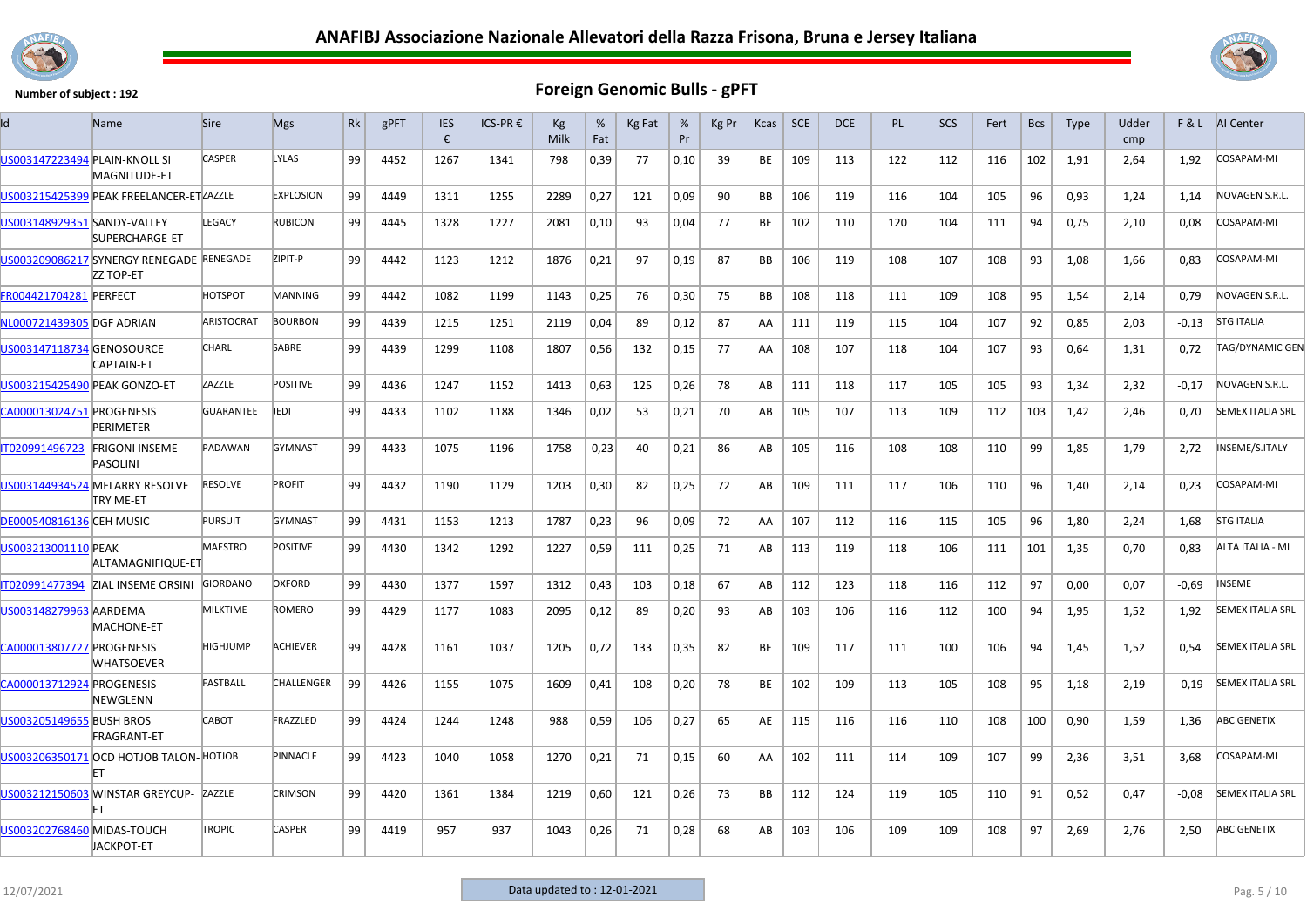



| Id                              | <b>Name</b>                                                  | <b>Sire</b>       | <b>Mgs</b>       | Rk | gPFT | <b>IES</b><br>€ | $ICS-PR$ € | Kg<br>Milk | %<br>Fat | <b>Kg Fat</b> | %<br>Pr | Kg Pr | Kcas      | <b>SCE</b> | DCE | <b>PL</b> | SCS | Fert | <b>Bcs</b> | <b>Type</b> | Udder<br>cmp |         | F & L AI Center         |
|---------------------------------|--------------------------------------------------------------|-------------------|------------------|----|------|-----------------|------------|------------|----------|---------------|---------|-------|-----------|------------|-----|-----------|-----|------|------------|-------------|--------------|---------|-------------------------|
| US003147223494 PLAIN-KNOLL SI   | MAGNITUDE-ET                                                 | <b>CASPER</b>     | LYLAS            | 99 | 4452 | 1267            | 1341       | 798        | 0,39     | 77            | 0,10    | 39    | BE        | 109        | 113 | 122       | 112 | 116  | 102        | 1,91        | 2,64         | 1,92    | COSAPAM-MI              |
|                                 | US003215425399 PEAK FREELANCER-ETZAZZLE                      |                   | <b>EXPLOSION</b> | 99 | 4449 | 1311            | 1255       | 2289       | 0,27     | 121           | 0,09    | 90    | <b>BB</b> | 106        | 119 | 116       | 104 | 105  | 96         | 0,93        | 1,24         | 1.14    | NOVAGEN S.R.L.          |
| US003148929351 SANDY-VALLEY     | SUPERCHARGE-ET                                               | LEGACY            | RUBICON          | 99 | 4445 | 1328            | 1227       | 2081       | 0,10     | 93            | 0,04    | 77    | <b>BE</b> | 102        | 110 | 120       | 104 | 111  | 94         | 0,75        | 2,10         | 0,08    | COSAPAM-MI              |
|                                 | US003209086217 SYNERGY RENEGADE RENEGADE<br><b>ZZ TOP-ET</b> |                   | ZIPIT-P          | 99 | 4442 | 1123            | 1212       | 1876       | 0,21     | 97            | 0,19    | 87    | <b>BB</b> | 106        | 119 | 108       | 107 | 108  | 93         | 1,08        | 1,66         | 0,83    | COSAPAM-MI              |
| <b>FR004421704281 PERFECT</b>   |                                                              | <b>HOTSPOT</b>    | <b>MANNING</b>   | 99 | 4442 | 1082            | 1199       | 1143       | 0,25     | 76            | 0,30    | 75    | <b>BB</b> | 108        | 118 | 111       | 109 | 108  | 95         | 1,54        | 2,14         | 0.79    | NOVAGEN S.R.L.          |
| NL000721439305 DGF ADRIAN       |                                                              | <b>ARISTOCRAT</b> | <b>BOURBON</b>   | 99 | 4439 | 1215            | 1251       | 2119       | 0,04     | 89            | 0,12    | 87    | AA        | 111        | 119 | 115       | 104 | 107  | 92         | 0,85        | 2,03         | $-0,13$ | <b>STG ITALIA</b>       |
| US003147118734 GENOSOURCE       | CAPTAIN-ET                                                   | CHARL             | SABRE            | 99 | 4439 | 1299            | 1108       | 1807       | 0,56     | 132           | 0,15    | 77    | AA        | 108        | 107 | 118       | 104 | 107  | 93         | 0,64        | 1,31         | 0,72    | TAG/DYNAMIC GEN         |
| US003215425490 PEAK GONZO-ET    |                                                              | ZAZZLE            | <b>POSITIVE</b>  | 99 | 4436 | 1247            | 1152       | 1413       | 0.63     | 125           | 0.26    | 78    | AB        | 111        | 118 | 117       | 105 | 105  | 93         | 1.34        | 2,32         | $-0.17$ | NOVAGEN S.R.L.          |
| CA000013024751 PROGENESIS       | PERIMETER                                                    | <b>GUARANTEE</b>  | JEDI             | 99 | 4433 | 1102            | 1188       | 1346       | 0,02     | 53            | 0,21    | 70    | AB        | 105        | 107 | 113       | 109 | 112  | 103        | 1,42        | 2,46         | 0,70    | <b>SEMEX ITALIA SRL</b> |
| IT020991496723                  | <b>FRIGONI INSEME</b><br>PASOLINI                            | PADAWAN           | <b>GYMNAST</b>   | 99 | 4433 | 1075            | 1196       | 1758       | $-0,23$  | 40            | 0,21    | 86    | AB        | 105        | 116 | 108       | 108 | 110  | 99         | 1,85        | 1,79         | 2,72    | INSEME/S.ITALY          |
|                                 | US003144934524 MELARRY RESOLVE<br>TRY ME-ET                  | <b>RESOLVE</b>    | <b>PROFIT</b>    | 99 | 4432 | 1190            | 1129       | 1203       | 0,30     | 82            | 0,25    | 72    | AB        | 109        | 111 | 117       | 106 | 110  | 96         | 1,40        | 2,14         | 0,23    | COSAPAM-MI              |
| <b>DE000540816136 CEH MUSIC</b> |                                                              | <b>PURSUIT</b>    | <b>GYMNAST</b>   | 99 | 4431 | 1153            | 1213       | 1787       | 0,23     | 96            | 0,09    | 72    | AA        | 107        | 112 | 116       | 115 | 105  | 96         | 1,80        | 2,24         | 1,68    | <b>STG ITALIA</b>       |
| US003213001110 PEAK             | ALTAMAGNIFIQUE-ET                                            | <b>MAESTRO</b>    | <b>POSITIVE</b>  | 99 | 4430 | 1342            | 1292       | 1227       | 0,59     | 111           | 0,25    | 71    | AB        | 113        | 119 | 118       | 106 | 111  | 101        | 1,35        | 0,70         | 0,83    | ALTA ITALIA - MI        |
| IT020991477394                  | ZIAL INSEME ORSINI                                           | <b>GIORDANO</b>   | <b>OXFORD</b>    | 99 | 4430 | 1377            | 1597       | 1312       | 0,43     | 103           | 0,18    | 67    | AB        | 112        | 123 | 118       | 116 | 112  | 97         | 0,00        | 0.07         | $-0.69$ | <b>INSEME</b>           |
| US003148279963 AARDEMA          | MACHONE-ET                                                   | <b>MILKTIME</b>   | <b>ROMERO</b>    | 99 | 4429 | 1177            | 1083       | 2095       | 0,12     | 89            | 0,20    | 93    | AB        | 103        | 106 | 116       | 112 | 100  | 94         | 1,95        | 1,52         | 1,92    | <b>SEMEX ITALIA SRL</b> |
| CA000013807727 PROGENESIS       | WHATSOEVER                                                   | <b>HIGHJUMP</b>   | <b>ACHIEVER</b>  | 99 | 4428 | 1161            | 1037       | 1205       | 0,72     | 133           | 0,35    | 82    | <b>BE</b> | 109        | 117 | 111       | 100 | 106  | 94         | 1,45        | 1,52         | 0.54    | <b>SEMEX ITALIA SRL</b> |
| CA000013712924 PROGENESIS       | NEWGLENN                                                     | <b>FASTBALL</b>   | CHALLENGER       | 99 | 4426 | 1155            | 1075       | 1609       | 0,41     | 108           | 0,20    | 78    | <b>BE</b> | 102        | 109 | 113       | 105 | 108  | 95         | 1,18        | 2.19         | $-0.19$ | <b>SEMEX ITALIA SRL</b> |
| US003205149655 BUSH BROS        | <b>FRAGRANT-ET</b>                                           | CABOT             | FRAZZLED         | 99 | 4424 | 1244            | 1248       | 988        | 0,59     | 106           | 0,27    | 65    | AE        | 115        | 116 | 116       | 110 | 108  | 100        | 0,90        | 1,59         | 1,36    | ABC GENETIX             |
|                                 | US003206350171 OCD HOTJOB TALON-HOTJOB<br>FT                 |                   | <b>PINNACLE</b>  | 99 | 4423 | 1040            | 1058       | 1270       | 0,21     | 71            | 0,15    | 60    | AA        | 102        | 111 | 114       | 109 | 107  | 99         | 2,36        | 3,51         | 3,68    | COSAPAM-MI              |
|                                 | US003212150603 MINSTAR GREYCUP- ZAZZLE                       |                   | <b>CRIMSON</b>   | 99 | 4420 | 1361            | 1384       | 1219       | 0,60     | 121           | 0,26    | 73    | BB        | 112        | 124 | 119       | 105 | 110  | 91         | 0,52        | 0.47         | $-0.08$ | <b>SEMEX ITALIA SRL</b> |
| US003202768460 MIDAS-TOUCH      | <b>JACKPOT-ET</b>                                            | <b>TROPIC</b>     | CASPER           | 99 | 4419 | 957             | 937        | 1043       | 0,26     | 71            | 0,28    | 68    | AB        | 103        | 106 | 109       | 109 | 108  | 97         | 2,69        | 2,76         | 2,50    | <b>ABC GENETIX</b>      |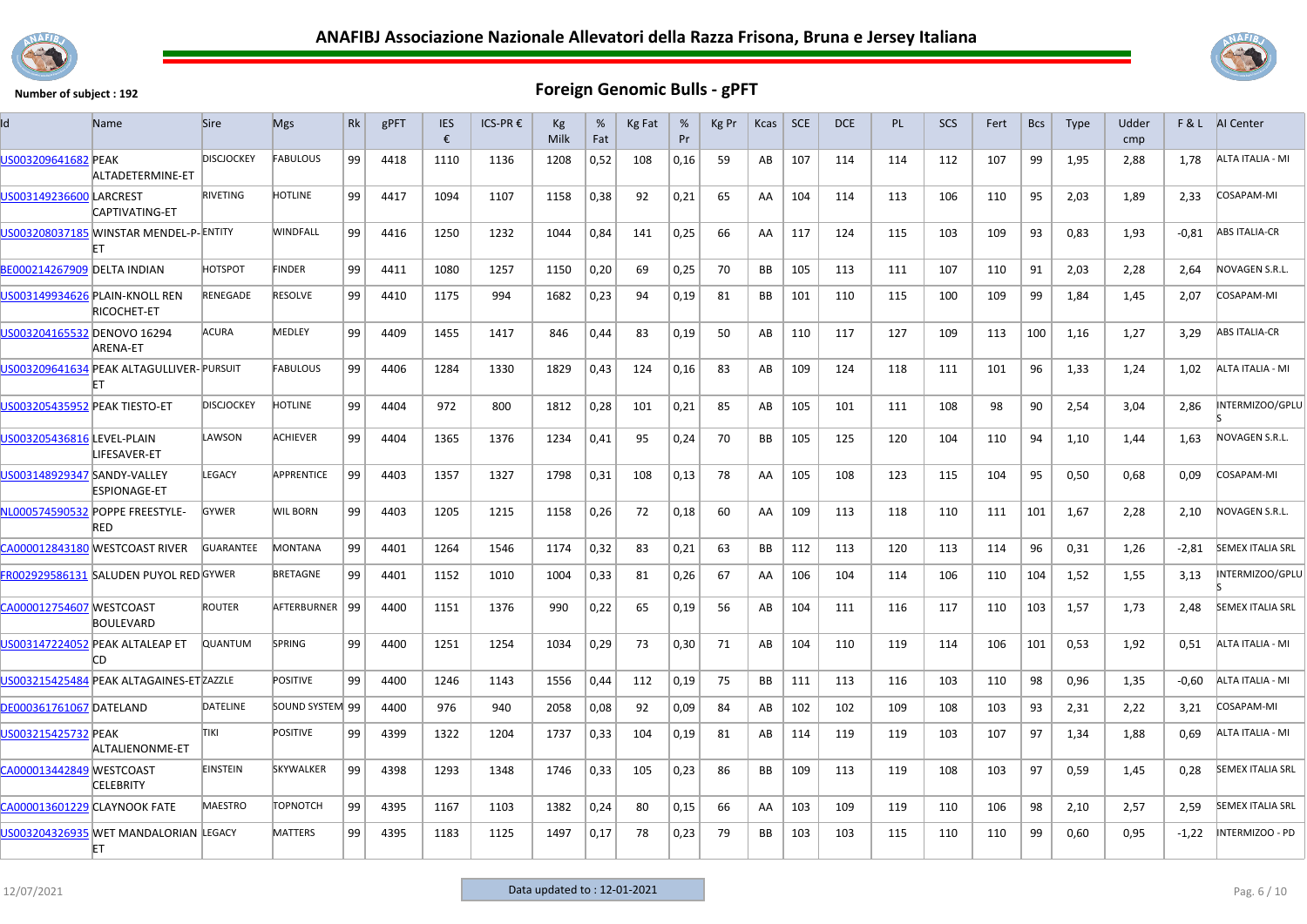



| ıd                                 | <b>Name</b>                                          | <b>Sire</b>       | <b>Mgs</b>       | Rk | gPFT | <b>IES</b><br>€ | ICS-PR € | Кg<br>Milk | %<br>Fat | Kg Fat | %<br>Pr | Kg Pr | Kcas      | <b>SCE</b> | <b>DCE</b> | PL  | <b>SCS</b> | Fert | <b>Bcs</b> | Type | Udder<br>cmp |         | <b>F&amp;L</b> AI Center |
|------------------------------------|------------------------------------------------------|-------------------|------------------|----|------|-----------------|----------|------------|----------|--------|---------|-------|-----------|------------|------------|-----|------------|------|------------|------|--------------|---------|--------------------------|
| US003209641682 PEAK                | ALTADETERMINE-ET                                     | <b>DISCJOCKEY</b> | <b>FABULOUS</b>  | 99 | 4418 | 1110            | 1136     | 1208       | 0,52     | 108    | 0,16    | 59    | AB        | 107        | 114        | 114 | 112        | 107  | 99         | 1,95 | 2,88         | 1,78    | <b>ALTA ITALIA - MI</b>  |
| US003149236600 LARCREST            | CAPTIVATING-ET                                       | <b>RIVETING</b>   | <b>HOTLINE</b>   | 99 | 4417 | 1094            | 1107     | 1158       | 0,38     | 92     | 0,21    | 65    | AA        | 104        | 114        | 113 | 106        | 110  | 95         | 2,03 | 1,89         | 2,33    | <b>COSAPAM-MI</b>        |
|                                    | US003208037185 WINSTAR MENDEL-P-ENTITY               |                   | <b>WINDFALL</b>  | 99 | 4416 | 1250            | 1232     | 1044       | 0,84     | 141    | 0,25    | 66    | AA        | 117        | 124        | 115 | 103        | 109  | 93         | 0,83 | 1,93         | $-0,81$ | <b>ABS ITALIA-CR</b>     |
| <b>BE000214267909 DELTA INDIAN</b> |                                                      | HOTSPOT           | <b>FINDER</b>    | 99 | 4411 | 1080            | 1257     | 1150       | 0,20     | 69     | 0,25    | 70    | <b>BB</b> | 105        | 113        | 111 | 107        | 110  | 91         | 2,03 | 2,28         | 2,64    | NOVAGEN S.R.L.           |
|                                    | US003149934626 PLAIN-KNOLL REN<br><b>RICOCHET-ET</b> | RENEGADE          | <b>RESOLVE</b>   | 99 | 4410 | 1175            | 994      | 1682       | 0,23     | 94     | 0,19    | 81    | BB        | 101        | 110        | 115 | 100        | 109  | 99         | 1,84 | 1,45         | 2,07    | COSAPAM-MI               |
| US003204165532 DENOVO 16294        | <b>ARENA-ET</b>                                      | <b>ACURA</b>      | <b>MEDLEY</b>    | 99 | 4409 | 1455            | 1417     | 846        | 0,44     | 83     | 0,19    | 50    | AB        | 110        | 117        | 127 | 109        | 113  | 100        | 1,16 | 1,27         | 3,29    | <b>ABS ITALIA-CR</b>     |
|                                    | US003209641634 PEAK ALTAGULLIVER- PURSUIT            |                   | <b>FABULOUS</b>  | 99 | 4406 | 1284            | 1330     | 1829       | 0,43     | 124    | 0,16    | 83    | AB        | 109        | 124        | 118 | 111        | 101  | 96         | 1,33 | 1,24         | 1,02    | ALTA ITALIA - MI         |
| US003205435952 PEAK TIESTO-ET      |                                                      | <b>DISCJOCKEY</b> | <b>HOTLINE</b>   | 99 | 4404 | 972             | 800      | 1812       | 0,28     | 101    | 0,21    | 85    | AB        | 105        | 101        | 111 | 108        | 98   | 90         | 2,54 | 3,04         | 2,86    | INTERMIZOO/GPLU          |
| US003205436816 LEVEL-PLAIN         | LIFESAVER-ET                                         | LAWSON            | <b>ACHIEVER</b>  | 99 | 4404 | 1365            | 1376     | 1234       | 0,41     | 95     | 0,24    | 70    | <b>BB</b> | 105        | 125        | 120 | 104        | 110  | 94         | 1,10 | 1,44         | 1,63    | NOVAGEN S.R.L            |
| US003148929347 SANDY-VALLEY        | <b>ESPIONAGE-ET</b>                                  | LEGACY            | APPRENTICE       | 99 | 4403 | 1357            | 1327     | 1798       | 0,31     | 108    | 0,13    | 78    | AA        | 105        | 108        | 123 | 115        | 104  | 95         | 0,50 | 0,68         | 0,09    | COSAPAM-MI               |
|                                    | NL000574590532 POPPE FREESTYLE-<br>RED               | <b>GYWER</b>      | <b>WIL BORN</b>  | 99 | 4403 | 1205            | 1215     | 1158       | 0,26     | 72     | 0,18    | 60    | AA        | 109        | 113        | 118 | 110        | 111  | 101        | 1,67 | 2,28         | 2,10    | NOVAGEN S.R.L.           |
|                                    | CA000012843180 WESTCOAST RIVER                       | <b>GUARANTEE</b>  | <b>MONTANA</b>   | 99 | 4401 | 1264            | 1546     | 1174       | 0,32     | 83     | 0,21    | 63    | <b>BB</b> | 112        | 113        | 120 | 113        | 114  | 96         | 0,31 | 1,26         | $-2,81$ | <b>SEMEX ITALIA SRL</b>  |
|                                    | FR002929586131 SALUDEN PUYOL RED GYWER               |                   | <b>BRETAGNE</b>  | 99 | 4401 | 1152            | 1010     | 1004       | 0,33     | 81     | 0,26    | 67    | AA        | 106        | 104        | 114 | 106        | 110  | 104        | 1,52 | 1,55         | 3,13    | INTERMIZOO/GPLU          |
| CA000012754607 WESTCOAST           | <b>BOULEVARD</b>                                     | <b>ROUTER</b>     | AFTERBURNER   99 |    | 4400 | 1151            | 1376     | 990        | 0,22     | 65     | 0,19    | 56    | AB        | 104        | 111        | 116 | 117        | 110  | 103        | 1,57 | 1,73         | 2,48    | <b>SEMEX ITALIA SRL</b>  |
|                                    | US003147224052 PEAK ALTALEAP ET                      | QUANTUM           | <b>SPRING</b>    | 99 | 4400 | 1251            | 1254     | 1034       | 0,29     | 73     | 0,30    | 71    | AB        | 104        | 110        | 119 | 114        | 106  | 101        | 0,53 | 1,92         | 0,51    | ALTA ITALIA - MI         |
|                                    | US003215425484 PEAK ALTAGAINES-ET ZAZZLE             |                   | <b>POSITIVE</b>  | 99 | 4400 | 1246            | 1143     | 1556       | 0,44     | 112    | 0,19    | 75    | <b>BB</b> | 111        | 113        | 116 | 103        | 110  | 98         | 0,96 | 1,35         | $-0,60$ | ALTA ITALIA - MI         |
| <b>DE000361761067 DATELAND</b>     |                                                      | <b>DATELINE</b>   | SOUND SYSTEM 99  |    | 4400 | 976             | 940      | 2058       | 0,08     | 92     | 0,09    | 84    | AB        | 102        | 102        | 109 | 108        | 103  | 93         | 2,31 | 2,22         | 3,21    | COSAPAM-MI               |
| US003215425732 PEAK                | ALTALIENONME-ET                                      | TIKI              | <b>POSITIVE</b>  | 99 | 4399 | 1322            | 1204     | 1737       | 0,33     | 104    | 0,19    | 81    | AB        | 114        | 119        | 119 | 103        | 107  | 97         | 1,34 | 1,88         | 0,69    | ALTA ITALIA - MI         |
| CA000013442849 WESTCOAST           | CELEBRITY                                            | <b>EINSTEIN</b>   | SKYWALKER        | 99 | 4398 | 1293            | 1348     | 1746       | 0,33     | 105    | 0,23    | 86    | <b>BB</b> | 109        | 113        | 119 | 108        | 103  | 97         | 0,59 | 1,45         | 0,28    | <b>SEMEX ITALIA SRL</b>  |
| CA000013601229 CLAYNOOK FATE       |                                                      | <b>MAESTRO</b>    | <b>TOPNOTCH</b>  | 99 | 4395 | 1167            | 1103     | 1382       | 0,24     | 80     | 0,15    | 66    | AA        | 103        | 109        | 119 | 110        | 106  | 98         | 2,10 | 2,57         | 2,59    | <b>SEMEX ITALIA SRL</b>  |
|                                    | US003204326935 WET MANDALORIAN LEGACY<br>ET.         |                   | <b>MATTERS</b>   | 99 | 4395 | 1183            | 1125     | 1497       | 0,17     | 78     | 0,23    | 79    | BB        | 103        | 103        | 115 | 110        | 110  | 99         | 0.60 | 0,95         | $-1,22$ | NTERMIZOO - PD           |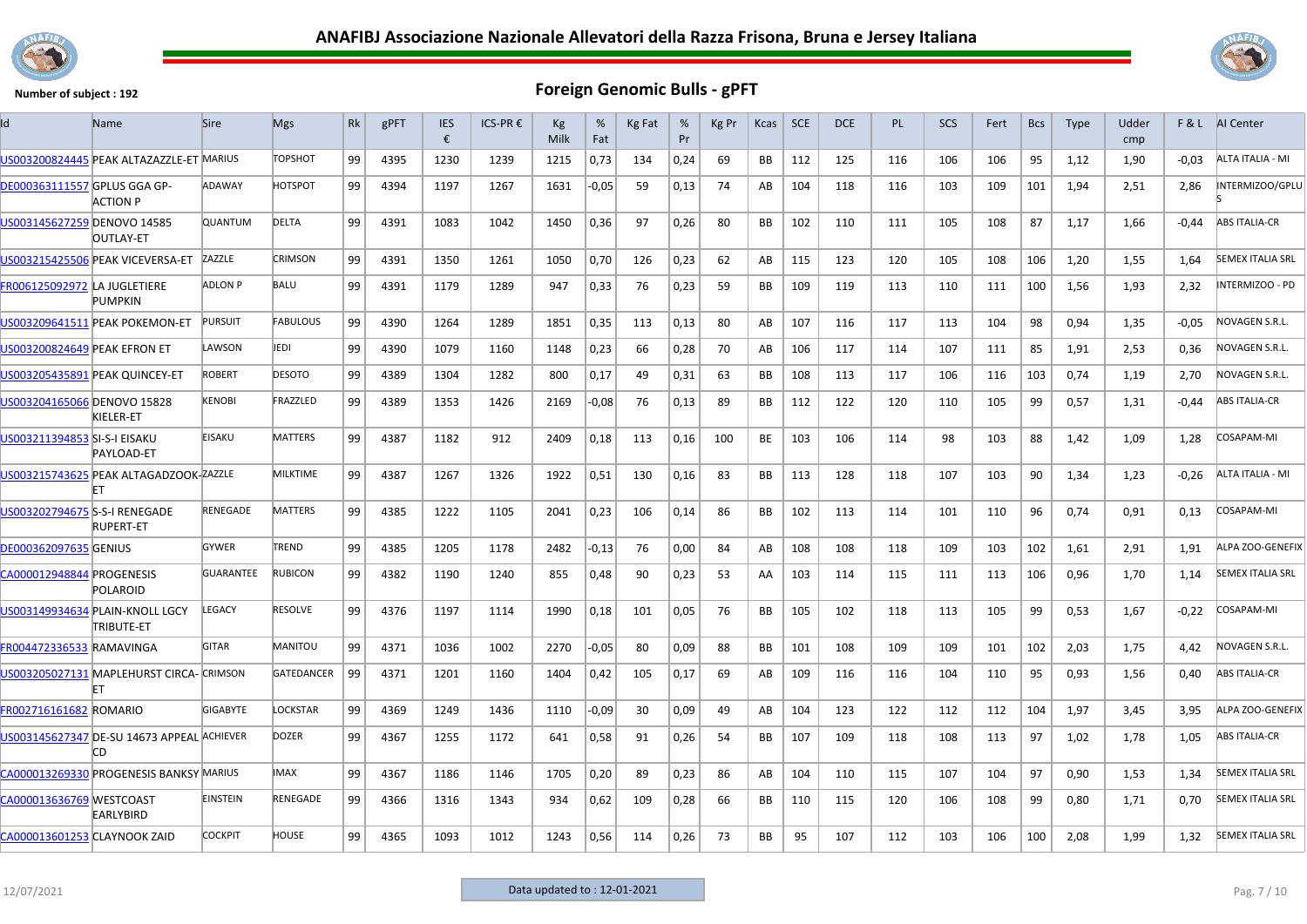



| ld                              | <b>Name</b>                                      | <b>Sire</b>      | <b>Mgs</b>      | Rk | gPFT | <b>IES</b><br>€ | ICS-PR € | Кg<br>Milk | %<br>Fat | <b>Kg Fat</b> | %<br>Pr | Kg Pr | Kcas | <b>SCE</b> | <b>DCE</b> | <b>PL</b> | <b>SCS</b> | Fert | <b>Bcs</b> | <b>Type</b> | Udder<br>cmp |         | <b>F&amp;L</b> AI Center |
|---------------------------------|--------------------------------------------------|------------------|-----------------|----|------|-----------------|----------|------------|----------|---------------|---------|-------|------|------------|------------|-----------|------------|------|------------|-------------|--------------|---------|--------------------------|
|                                 | US003200824445 PEAK ALTAZAZZLE-ET MARIUS         |                  | TOPSHOT         | 99 | 4395 | 1230            | 1239     | 1215       | 0,73     | 134           | 0,24    | 69    | BB   | 112        | 125        | 116       | 106        | 106  | 95         | 1.12        | 1,90         | $-0.03$ | ALTA ITALIA - MI         |
| DE000363111557 GPLUS GGA GP-    | <b>ACTION P</b>                                  | ADAWAY           | <b>HOTSPOT</b>  | 99 | 4394 | 1197            | 1267     | 1631       | -0,05    | 59            | 0,13    | 74    | AB   | 104        | 118        | 116       | 103        | 109  | 101        | 1,94        | 2,51         | 2,86    | INTERMIZOO/GPLU          |
| US003145627259 DENOVO 14585     | <b>OUTLAY-ET</b>                                 | QUANTUM          | <b>DELTA</b>    | 99 | 4391 | 1083            | 1042     | 1450       | 0,36     | 97            | 0,26    | 80    | BB   | 102        | 110        | 111       | 105        | 108  | 87         | 1,17        | 1,66         | -0,44   | ABS ITALIA-CR            |
|                                 | US003215425506 PEAK VICEVERSA-ET                 | ZAZZLE           | <b>CRIMSON</b>  | 99 | 4391 | 1350            | 1261     | 1050       | 0,70     | 126           | 0,23    | 62    | AB   | 115        | 123        | 120       | 105        | 108  | 106        | 1,20        | 1,55         | 1,64    | <b>SEMEX ITALIA SRL</b>  |
| FR006125092972 LA JUGLETIERE    | <b>PUMPKIN</b>                                   | ADLON P          | BALU            | 99 | 4391 | 1179            | 1289     | 947        | 0,33     | 76            | 0,23    | 59    | BB   | 109        | 119        | 113       | 110        | 111  | 100        | 1,56        | 1,93         | 2,32    | INTERMIZOO - PD          |
|                                 | US003209641511 PEAK POKEMON-ET                   | <b>PURSUIT</b>   | <b>FABULOUS</b> | 99 | 4390 | 1264            | 1289     | 1851       | 0,35     | 113           | 0,13    | 80    | AB   | 107        | 116        | 117       | 113        | 104  | 98         | 0,94        | 1,35         | $-0.05$ | NOVAGEN S.R.L.           |
| US003200824649 PEAK EFRON ET    |                                                  | LAWSON           | iedi            | 99 | 4390 | 1079            | 1160     | 1148       | 0,23     | 66            | 0,28    | 70    | AB   | 106        | 117        | 114       | 107        | 111  | 85         | 1,91        | 2,53         | 0,36    | NOVAGEN S.R.L.           |
|                                 | US003205435891 PEAK QUINCEY-ET                   | <b>ROBERT</b>    | <b>DESOTO</b>   | 99 | 4389 | 1304            | 1282     | 800        | 0,17     | 49            | 0,31    | 63    | BB   | 108        | 113        | 117       | 106        | 116  | 103        | 0,74        | 1,19         | 2,70    | NOVAGEN S.R.L.           |
| US003204165066 DENOVO 15828     | KIELER-ET                                        | <b>KENOBI</b>    | FRAZZLED        | 99 | 4389 | 1353            | 1426     | 2169       | $-0,08$  | 76            | 0,13    | 89    | BB   | 112        | 122        | 120       | 110        | 105  | 99         | 0,57        | 1,31         | -0,44   | <b>ABS ITALIA-CR</b>     |
| US003211394853 SI-S-I EISAKU    | PAYLOAD-ET                                       | <b>EISAKU</b>    | <b>MATTERS</b>  | 99 | 4387 | 1182            | 912      | 2409       | 0,18     | 113           | 0,16    | 100   | BE   | 103        | 106        | 114       | 98         | 103  | 88         | 1,42        | 1,09         | 1,28    | COSAPAM-MI               |
|                                 | US003215743625 PEAK ALTAGADZOOK-ZAZZLE<br>FT     |                  | <b>MILKTIME</b> | 99 | 4387 | 1267            | 1326     | 1922       | 0,51     | 130           | 0,16    | 83    | BB   | 113        | 128        | 118       | 107        | 103  | 90         | 1,34        | 1,23         | $-0,26$ | ALTA ITALIA - MI         |
| US003202794675 S-S-I RENEGADE   | <b>RUPERT-ET</b>                                 | RENEGADE         | <b>MATTERS</b>  | 99 | 4385 | 1222            | 1105     | 2041       | 0,23     | 106           | 0,14    | 86    | BB   | 102        | 113        | 114       | 101        | 110  | 96         | 0,74        | 0,91         | 0,13    | COSAPAM-MI               |
| <b>DE000362097635 GENIUS</b>    |                                                  | <b>GYWER</b>     | TREND           | 99 | 4385 | 1205            | 1178     | 2482       | $-0,13$  | 76            | 0,00    | 84    | AB   | 108        | 108        | 118       | 109        | 103  | 102        | 1,61        | 2,91         | 1,91    | ALPA ZOO-GENEFIX         |
| CA000012948844 PROGENESIS       | POLAROID                                         | <b>GUARANTEE</b> | <b>RUBICON</b>  | 99 | 4382 | 1190            | 1240     | 855        | 0,48     | 90            | 0,23    | 53    | AA   | 103        | 114        | 115       | 111        | 113  | 106        | 0,96        | 1,70         | 1,14    | <b>SEMEX ITALIA SRL</b>  |
|                                 | US003149934634 PLAIN-KNOLL LGCY<br>TRIBUTE-ET    | <b>EGACY</b>     | RESOLVE         | 99 | 4376 | 1197            | 1114     | 1990       | 0,18     | 101           | 0,05    | 76    | BB   | 105        | 102        | 118       | 113        | 105  | 99         | 0,53        | 1,67         | $-0,22$ | COSAPAM-MI               |
| <b>FR004472336533 RAMAVINGA</b> |                                                  | <b>GITAR</b>     | MANITOU         | 99 | 4371 | 1036            | 1002     | 2270       | $-0,05$  | 80            | 0,09    | 88    | BB   | 101        | 108        | 109       | 109        | 101  | 102        | 2,03        | 1,75         | 4,42    | NOVAGEN S.R.L.           |
|                                 | US003205027131 MAPLEHURST CIRCA- CRIMSON<br>ΈT   |                  | GATEDANCER      | 99 | 4371 | 1201            | 1160     | 1404       | 0,42     | 105           | 0,17    | 69    | AB   | 109        | 116        | 116       | 104        | 110  | 95         | 0,93        | 1,56         | 0,40    | ABS ITALIA-CR            |
| FR002716161682 ROMARIO          |                                                  | <b>GIGABYTE</b>  | LOCKSTAR        | 99 | 4369 | 1249            | 1436     | 1110       | -0,09    | 30            | 0,09    | 49    | AB   | 104        | 123        | 122       | 112        | 112  | 104        | 1,97        | 3,45         | 3,95    | ALPA ZOO-GENEFIX         |
|                                 | US003145627347 DE-SU 14673 APPEAL ACHIEVER<br>СD |                  | <b>DOZER</b>    | 99 | 4367 | 1255            | 1172     | 641        | 0,58     | 91            | 0,26    | 54    | BB   | 107        | 109        | 118       | 108        | 113  | 97         | 1,02        | 1,78         | 1,05    | ABS ITALIA-CR            |
|                                 | CA000013269330 PROGENESIS BANKSY MARIUS          |                  | <b>IMAX</b>     | 99 | 4367 | 1186            | 1146     | 1705       | 0,20     | 89            | 0,23    | 86    | AB   | 104        | 110        | 115       | 107        | 104  | 97         | 0,90        | 1,53         | 1,34    | <b>SEMEX ITALIA SRL</b>  |
| CA000013636769 WESTCOAST        | <b>EARLYBIRD</b>                                 | <b>EINSTEIN</b>  | RENEGADE        | 99 | 4366 | 1316            | 1343     | 934        | 0,62     | 109           | 0,28    | 66    | BB   | 110        | 115        | 120       | 106        | 108  | 99         | 0,80        | 1,71         | 0,70    | <b>SEMEX ITALIA SRL</b>  |
| CA000013601253 CLAYNOOK ZAID    |                                                  | <b>COCKPIT</b>   | HOUSE           | 99 | 4365 | 1093            | 1012     | 1243       | 0,56     | 114           | 0,26    | 73    | ВB   | 95         | 107        | 112       | 103        | 106  | 100        | 2,08        | 1,99         | 1,32    | <b>SEMEX ITALIA SRL</b>  |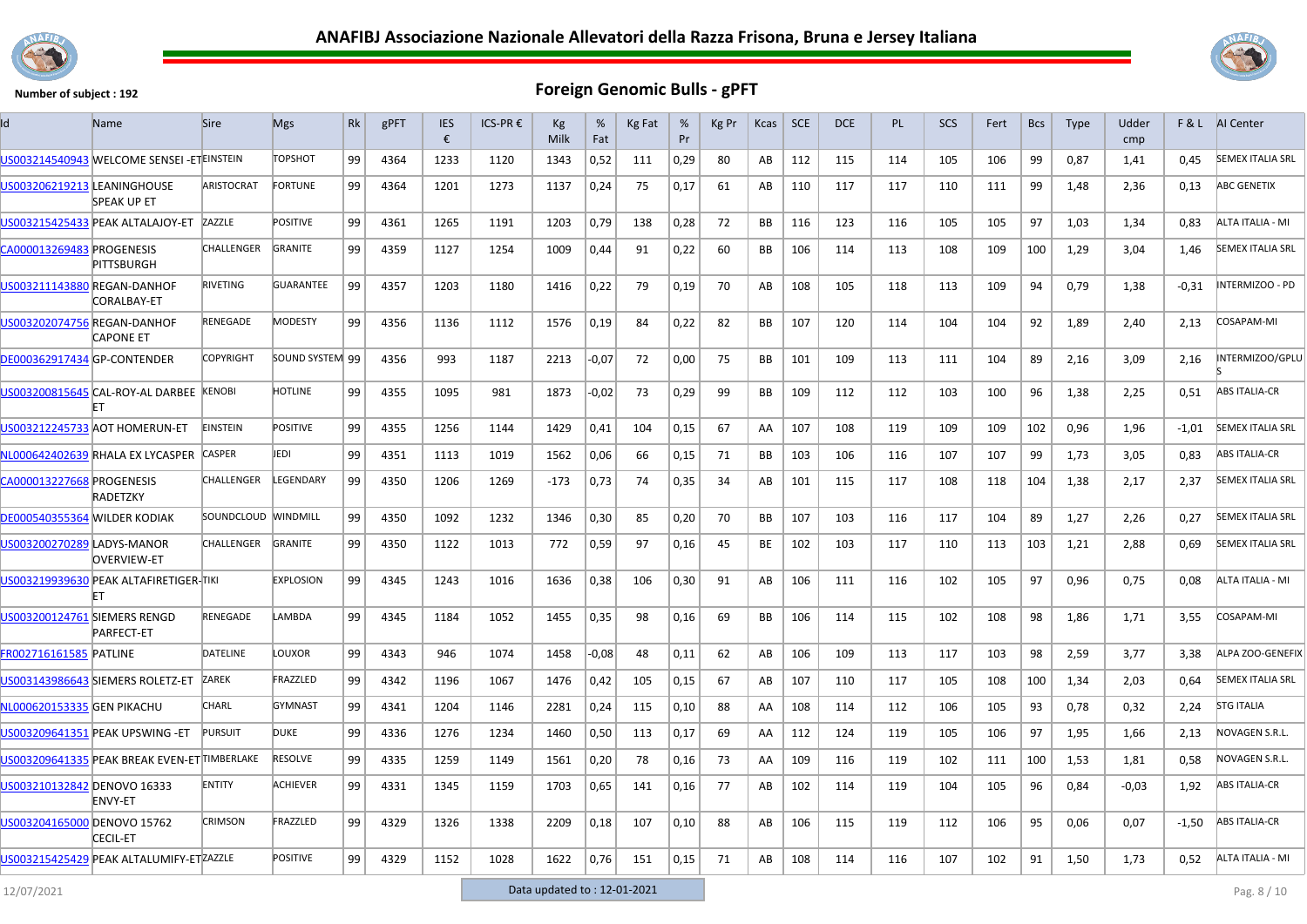



| ld                                  | <b>Name</b>                                   | <b>Sire</b>         | <b>Mgs</b>       | Rk | gPFT | <b>IES</b><br>€ | ICS-PR € | Kg<br>Milk | %<br>Fat | Kg Fat | %<br>Pr | Kg Pr | Kcas      | <b>SCE</b> | DCE | <b>PL</b> | <b>SCS</b> | Fert | <b>Bcs</b> | <b>Type</b> | Udder<br>cmp |         | <b>F&amp;L</b> AI Center |
|-------------------------------------|-----------------------------------------------|---------------------|------------------|----|------|-----------------|----------|------------|----------|--------|---------|-------|-----------|------------|-----|-----------|------------|------|------------|-------------|--------------|---------|--------------------------|
|                                     | US003214540943 WELCOME SENSEI -ETEINSTEIN     |                     | <b>TOPSHOT</b>   | 99 | 4364 | 1233            | 1120     | 1343       | 0,52     | 111    | 0,29    | 80    | AB        | 112        | 115 | 114       | 105        | 106  | 99         | 0,87        | 1,41         | 0,45    | <b>SEMEX ITALIA SRL</b>  |
| US003206219213 LEANINGHOUSE         | <b>SPEAK UP ET</b>                            | ARISTOCRAT          | <b>FORTUNE</b>   | 99 | 4364 | 1201            | 1273     | 1137       | 0,24     | 75     | 0,17    | 61    | AB        | 110        | 117 | 117       | 110        | 111  | 99         | 1,48        | 2,36         | 0,13    | <b>ABC GENETIX</b>       |
|                                     | US003215425433 PEAK ALTALAJOY-ET              | ZAZZLE              | <b>POSITIVE</b>  | 99 | 4361 | 1265            | 1191     | 1203       | 0,79     | 138    | 0,28    | 72    | <b>BB</b> | 116        | 123 | 116       | 105        | 105  | 97         | 1,03        | 1,34         | 0.83    | ALTA ITALIA - MI         |
| CA000013269483 PROGENESIS           | PITTSBURGH                                    | <b>CHALLENGER</b>   | <b>GRANITE</b>   | 99 | 4359 | 1127            | 1254     | 1009       | 0,44     | 91     | 0,22    | 60    | BB        | 106        | 114 | 113       | 108        | 109  | 100        | 1,29        | 3,04         | 1,46    | <b>SEMEX ITALIA SRL</b>  |
| US003211143880 REGAN-DANHOF         | CORALBAY-ET                                   | <b>RIVETING</b>     | <b>GUARANTEE</b> | 99 | 4357 | 1203            | 1180     | 1416       | 0,22     | 79     | 0,19    | 70    | AB        | 108        | 105 | 118       | 113        | 109  | 94         | 0,79        | 1,38         | $-0.31$ | INTERMIZOO - PD          |
| US003202074756 REGAN-DANHOF         | <b>CAPONE ET</b>                              | RENEGADE            | <b>MODESTY</b>   | 99 | 4356 | 1136            | 1112     | 1576       | 0,19     | 84     | 0,22    | 82    | BB        | 107        | 120 | 114       | 104        | 104  | 92         | 1,89        | 2.40         | 2,13    | COSAPAM-MI               |
| <b>DE000362917434 GP-CONTENDER</b>  |                                               | <b>COPYRIGHT</b>    | SOUND SYSTEM 99  |    | 4356 | 993             | 1187     | 2213       | $-0,07$  | 72     | 0,00    | 75    | BB        | 101        | 109 | 113       | 111        | 104  | 89         | 2,16        | 3,09         | 2,16    | INTERMIZOO/GPLU          |
|                                     | US003200815645 CAL-ROY-AL DARBEE KENOBI       |                     | <b>HOTLINE</b>   | 99 | 4355 | 1095            | 981      | 1873       | $-0,02$  | 73     | 0,29    | 99    | BB        | 109        | 112 | 112       | 103        | 100  | 96         | 1,38        | 2,25         | 0,51    | <b>ABS ITALIA-CR</b>     |
|                                     | US003212245733 AOT HOMERUN-ET                 | EINSTEIN            | <b>POSITIVE</b>  | 99 | 4355 | 1256            | 1144     | 1429       | 0,41     | 104    | 0,15    | 67    | AA        | 107        | 108 | 119       | 109        | 109  | 102        | 0,96        | 1,96         | $-1,01$ | <b>SEMEX ITALIA SRL</b>  |
|                                     | NL000642402639 RHALA EX LYCASPER              | <b>CASPER</b>       | jedi             | 99 | 4351 | 1113            | 1019     | 1562       | 0,06     | 66     | 0,15    | 71    | BB        | 103        | 106 | 116       | 107        | 107  | 99         | 1,73        | 3,05         | 0,83    | ABS ITALIA-CR            |
| CA000013227668 PROGENESIS           | <b>RADETZKY</b>                               | CHALLENGER          | LEGENDARY        | 99 | 4350 | 1206            | 1269     | $-173$     | 0,73     | 74     | 0,35    | 34    | AB        | 101        | 115 | 117       | 108        | 118  | 104        | 1,38        | 2,17         | 2,37    | <b>SEMEX ITALIA SRL</b>  |
| <b>DE000540355364 WILDER KODIAK</b> |                                               | SOUNDCLOUD MINDMILL |                  | 99 | 4350 | 1092            | 1232     | 1346       | 0,30     | 85     | 0,20    | 70    | <b>BB</b> | 107        | 103 | 116       | 117        | 104  | 89         | 1,27        | 2.26         | 0.27    | <b>SEMEX ITALIA SRL</b>  |
| US003200270289 LADYS-MANOR          | <b>OVERVIEW-ET</b>                            | CHALLENGER          | GRANITE          | 99 | 4350 | 1122            | 1013     | 772        | 0,59     | 97     | 0,16    | 45    | BE        | 102        | 103 | 117       | 110        | 113  | 103        | 1,21        | 2,88         | 0,69    | <b>SEMEX ITALIA SRL</b>  |
|                                     | US003219939630 PEAK ALTAFIRETIGER-TIKI<br>IЕT |                     | <b>EXPLOSION</b> | 99 | 4345 | 1243            | 1016     | 1636       | 0,38     | 106    | 0,30    | 91    | AB        | 106        | 111 | 116       | 102        | 105  | 97         | 0,96        | 0,75         | 0,08    | ALTA ITALIA - MI         |
| US003200124761 SIEMERS RENGD        | <b>PARFECT-ET</b>                             | <b>RENEGADE</b>     | LAMBDA           | 99 | 4345 | 1184            | 1052     | 1455       | 0,35     | 98     | 0,16    | 69    | BB        | 106        | 114 | 115       | 102        | 108  | 98         | 1,86        | 1,71         | 3,55    | COSAPAM-MI               |
| <b>FR002716161585 PATLINE</b>       |                                               | <b>DATELINE</b>     | LOUXOR           | 99 | 4343 | 946             | 1074     | 1458       | $-0,08$  | 48     | 0,11    | 62    | AB        | 106        | 109 | 113       | 117        | 103  | 98         | 2,59        | 3,77         | 3,38    | ALPA ZOO-GENEFIX         |
|                                     | US003143986643 SIEMERS ROLETZ-ET              | ZAREK               | FRAZZLED         | 99 | 4342 | 1196            | 1067     | 1476       | 0,42     | 105    | 0,15    | 67    | AB        | 107        | 110 | 117       | 105        | 108  | 100        | 1,34        | 2,03         | 0,64    | <b>SEMEX ITALIA SRL</b>  |
| NL000620153335 GEN PIKACHU          |                                               | CHARL               | <b>GYMNAST</b>   | 99 | 4341 | 1204            | 1146     | 2281       | 0,24     | 115    | 0,10    | 88    | AA        | 108        | 114 | 112       | 106        | 105  | 93         | 0,78        | 0,32         | 2,24    | <b>STG ITALIA</b>        |
|                                     | US003209641351 PEAK UPSWING -ET               | <b>PURSUIT</b>      | <b>DUKE</b>      | 99 | 4336 | 1276            | 1234     | 1460       | 0,50     | 113    | 0,17    | 69    | AA        | 112        | 124 | 119       | 105        | 106  | 97         | 1,95        | 1,66         | 2,13    | NOVAGEN S.R.L.           |
|                                     | US003209641335 PEAK BREAK EVEN-ET TIMBERLAKE  |                     | <b>RESOLVE</b>   | 99 | 4335 | 1259            | 1149     | 1561       | 0,20     | 78     | 0,16    | 73    | AA        | 109        | 116 | 119       | 102        | 111  | 100        | 1,53        | 1,81         | 0,58    | NOVAGEN S.R.L.           |
| US003210132842 DENOVO 16333         | ENVY-ET                                       | ENTITY              | ACHIEVER         | 99 | 4331 | 1345            | 1159     | 1703       | 0,65     | 141    | 0,16    | 77    | AB        | 102        | 114 | 119       | 104        | 105  | 96         | 0,84        | $-0,03$      | 1,92    | <b>ABS ITALIA-CR</b>     |
| US003204165000 DENOVO 15762         | <b>CECIL-ET</b>                               | <b>CRIMSON</b>      | FRAZZLED         | 99 | 4329 | 1326            | 1338     | 2209       | 0,18     | 107    | 0,10    | 88    | AB        | 106        | 115 | 119       | 112        | 106  | 95         | 0,06        | 0,07         | $-1,50$ | <b>ABS ITALIA-CR</b>     |
|                                     | US003215425429 PEAK ALTALUMIFY-ETZAZZLE       |                     | <b>POSITIVE</b>  | 99 | 4329 | 1152            | 1028     | 1622       | 0,76     | 151    | 0,15    | 71    | AB        | 108        | 114 | 116       | 107        | 102  | 91         | 1,50        | 1,73         | 0.52    | ALTA ITALIA - MI         |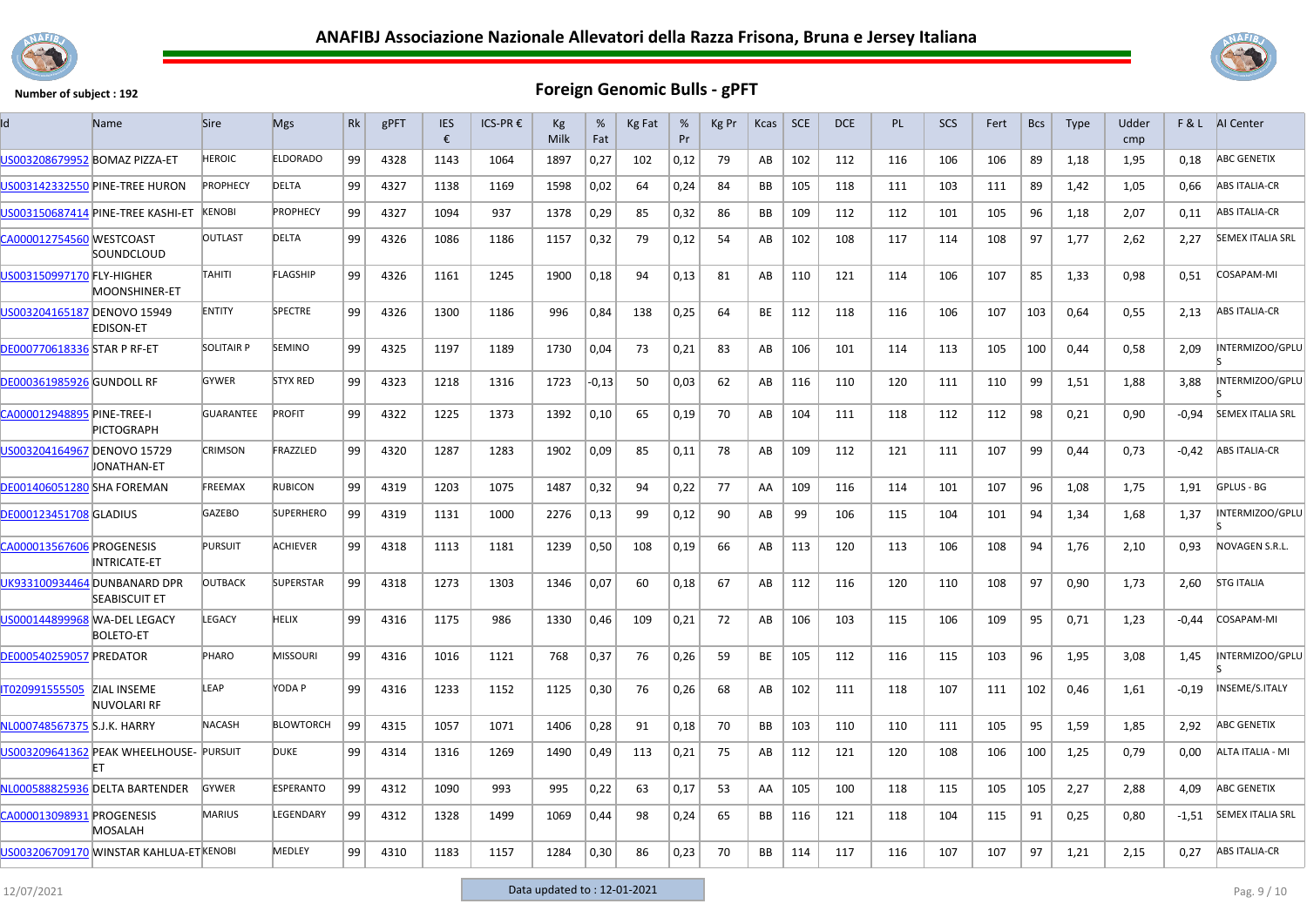



| ld                                 | Name                                                 | <b>Sire</b>       | <b>Mgs</b>       | Rk | gPFT | <b>IES</b><br>€ | ICS-PR € | Kg<br>Milk | %<br>Fat | Kg Fat | %<br>Pr | Kg Pr | Kcas | <b>SCE</b> | DCE | <b>PL</b> | <b>SCS</b> | Fert | <b>Bcs</b> | <b>Type</b> | Udder<br>cmp | F&L     | AI Center               |
|------------------------------------|------------------------------------------------------|-------------------|------------------|----|------|-----------------|----------|------------|----------|--------|---------|-------|------|------------|-----|-----------|------------|------|------------|-------------|--------------|---------|-------------------------|
| US003208679952 BOMAZ PIZZA-ET      |                                                      | <b>HEROIC</b>     | <b>ELDORADO</b>  | 99 | 4328 | 1143            | 1064     | 1897       | 0,27     | 102    | 0,12    | 79    | AB   | 102        | 112 | 116       | 106        | 106  | 89         | 1,18        | 1,95         | 0.18    | <b>ABC GENETIX</b>      |
|                                    | US003142332550 PINE-TREE HURON                       | <b>PROPHECY</b>   | <b>DELTA</b>     | 99 | 4327 | 1138            | 1169     | 1598       | 0,02     | 64     | 0,24    | 84    | BB   | 105        | 118 | 111       | 103        | 111  | 89         | 1,42        | 1,05         | 0.66    | <b>ABS ITALIA-CR</b>    |
|                                    | US003150687414 PINE-TREE KASHI-ET                    | <b>KENOBI</b>     | <b>PROPHECY</b>  | 99 | 4327 | 1094            | 937      | 1378       | 0,29     | 85     | 0,32    | 86    | BB   | 109        | 112 | 112       | 101        | 105  | 96         | 1,18        | 2,07         | 0,11    | <b>ABS ITALIA-CR</b>    |
| CA000012754560 WESTCOAST           | SOUNDCLOUD                                           | <b>OUTLAST</b>    | <b>DELTA</b>     | 99 | 4326 | 1086            | 1186     | 1157       | 0,32     | 79     | 0,12    | 54    | AB   | 102        | 108 | 117       | 114        | 108  | 97         | 1,77        | 2,62         | 2,27    | <b>SEMEX ITALIA SRL</b> |
| US003150997170 FLY-HIGHER          | MOONSHINER-ET                                        | <b>TAHITI</b>     | <b>FLAGSHIP</b>  | 99 | 4326 | 1161            | 1245     | 1900       | 0,18     | 94     | 0,13    | 81    | AB   | 110        | 121 | 114       | 106        | 107  | 85         | 1,33        | 0,98         | 0,51    | COSAPAM-MI              |
| US003204165187 DENOVO 15949        | <b>EDISON-ET</b>                                     | ENTITY            | <b>SPECTRE</b>   | 99 | 4326 | 1300            | 1186     | 996        | 0,84     | 138    | 0,25    | 64    | BE   | 112        | 118 | 116       | 106        | 107  | 103        | 0,64        | 0,55         | 2,13    | <b>ABS ITALIA-CR</b>    |
| <b>DE000770618336 STAR P RF-ET</b> |                                                      | <b>SOLITAIR P</b> | <b>SEMINO</b>    | 99 | 4325 | 1197            | 1189     | 1730       | 0,04     | 73     | 0,21    | 83    | AB   | 106        | 101 | 114       | 113        | 105  | 100        | 0,44        | 0,58         | 2,09    | INTERMIZOO/GPLU         |
| <b>DE000361985926 GUNDOLL RF</b>   |                                                      | <b>GYWER</b>      | <b>STYX RED</b>  | 99 | 4323 | 1218            | 1316     | 1723       | $-0,13$  | 50     | 0,03    | 62    | AB   | 116        | 110 | 120       | 111        | 110  | 99         | 1,51        | 1,88         | 3,88    | INTERMIZOO/GPLU         |
| CA000012948895 PINE-TREE-I         | PICTOGRAPH                                           | <b>GUARANTEE</b>  | <b>PROFIT</b>    | 99 | 4322 | 1225            | 1373     | 1392       | 0,10     | 65     | 0,19    | 70    | AB   | 104        | 111 | 118       | 112        | 112  | 98         | 0,21        | 0,90         | $-0,94$ | <b>SEMEX ITALIA SRL</b> |
| US003204164967 DENOVO 15729        | JONATHAN-ET                                          | <b>CRIMSON</b>    | FRAZZLED         | 99 | 4320 | 1287            | 1283     | 1902       | 0,09     | 85     | 0,11    | 78    | AB   | 109        | 112 | 121       | 111        | 107  | 99         | 0,44        | 0,73         | $-0.42$ | <b>ABS ITALIA-CR</b>    |
| DE001406051280 SHA FOREMAN         |                                                      | <b>FREEMAX</b>    | <b>RUBICON</b>   | 99 | 4319 | 1203            | 1075     | 1487       | 0,32     | 94     | 0,22    | 77    | AA   | 109        | 116 | 114       | 101        | 107  | 96         | 1,08        | 1,75         | 1,91    | GPLUS - BG              |
| <b>DE000123451708 GLADIUS</b>      |                                                      | <b>GAZEBO</b>     | <b>SUPERHERO</b> | 99 | 4319 | 1131            | 1000     | 2276       | 0,13     | 99     | 0,12    | 90    | AB   | 99         | 106 | 115       | 104        | 101  | 94         | 1,34        | 1,68         | 1,37    | INTERMIZOO/GPLU         |
| CA000013567606 PROGENESIS          | <b>INTRICATE-ET</b>                                  | <b>PURSUIT</b>    | <b>ACHIEVER</b>  | 99 | 4318 | 1113            | 1181     | 1239       | 0,50     | 108    | 0,19    | 66    | AB   | 113        | 120 | 113       | 106        | 108  | 94         | 1,76        | 2,10         | 0,93    | NOVAGEN S.R.L.          |
|                                    | UK933100934464 DUNBANARD DPR<br><b>SEABISCUIT ET</b> | <b>OUTBACK</b>    | <b>SUPERSTAR</b> | 99 | 4318 | 1273            | 1303     | 1346       | 0,07     | 60     | 0,18    | 67    | AB   | 112        | 116 | 120       | 110        | 108  | 97         | 0,90        | 1,73         | 2,60    | <b>STG ITALIA</b>       |
| US000144899968 WA-DEL LEGACY       | <b>BOLETO-ET</b>                                     | <b>LEGACY</b>     | HELIX            | 99 | 4316 | 1175            | 986      | 1330       | 0,46     | 109    | 0,21    | 72    | AB   | 106        | 103 | 115       | 106        | 109  | 95         | 0,71        | 1,23         | $-0,44$ | COSAPAM-MI              |
| <b>DE000540259057 PREDATOR</b>     |                                                      | PHARO             | <b>MISSOURI</b>  | 99 | 4316 | 1016            | 1121     | 768        | 0,37     | 76     | 0,26    | 59    | BE   | 105        | 112 | 116       | 115        | 103  | 96         | 1,95        | 3,08         | 1,45    | INTERMIZOO/GPLU         |
| IT020991555505                     | ZIAL INSEME<br>NUVOLARI RF                           | LEAP              | YODA P           | 99 | 4316 | 1233            | 1152     | 1125       | 0,30     | 76     | 0,26    | 68    | AB   | 102        | 111 | 118       | 107        | 111  | 102        | 0,46        | 1,61         | $-0,19$ | INSEME/S.ITALY          |
| NL000748567375 S.J.K. HARRY        |                                                      | <b>NACASH</b>     | <b>BLOWTORCH</b> | 99 | 4315 | 1057            | 1071     | 1406       | 0,28     | 91     | 0,18    | 70    | BB   | 103        | 110 | 110       | 111        | 105  | 95         | 1,59        | 1,85         | 2,92    | <b>ABC GENETIX</b>      |
|                                    | US003209641362 PEAK WHEELHOUSE- PURSUIT              |                   | <b>DUKE</b>      | 99 | 4314 | 1316            | 1269     | 1490       | 0,49     | 113    | 0,21    | 75    | AB   | 112        | 121 | 120       | 108        | 106  | 100        | 1,25        | 0,79         | 0,00    | ALTA ITALIA - MI        |
|                                    | NL000588825936 DELTA BARTENDER                       | <b>GYWER</b>      | <b>ESPERANTO</b> | 99 | 4312 | 1090            | 993      | 995        | 0,22     | 63     | 0,17    | 53    | AA   | 105        | 100 | 118       | 115        | 105  | 105        | 2,27        | 2,88         | 4,09    | <b>ABC GENETIX</b>      |
| CA000013098931 PROGENESIS          | MOSALAH                                              | <b>MARIUS</b>     | LEGENDARY        | 99 | 4312 | 1328            | 1499     | 1069       | 0,44     | 98     | 0,24    | 65    | BB   | 116        | 121 | 118       | 104        | 115  | 91         | 0,25        | 0,80         | $-1,51$ | <b>SEMEX ITALIA SRL</b> |
|                                    | US003206709170 WINSTAR KAHLUA-ET KENOBI              |                   | MEDLEY           | 99 | 4310 | 1183            | 1157     | 1284       | 0,30     | 86     | 0,23    | 70    | BB   | 114        | 117 | 116       | 107        | 107  | 97         | 1,21        | 2.15         | 0.27    | <b>ABS ITALIA-CR</b>    |